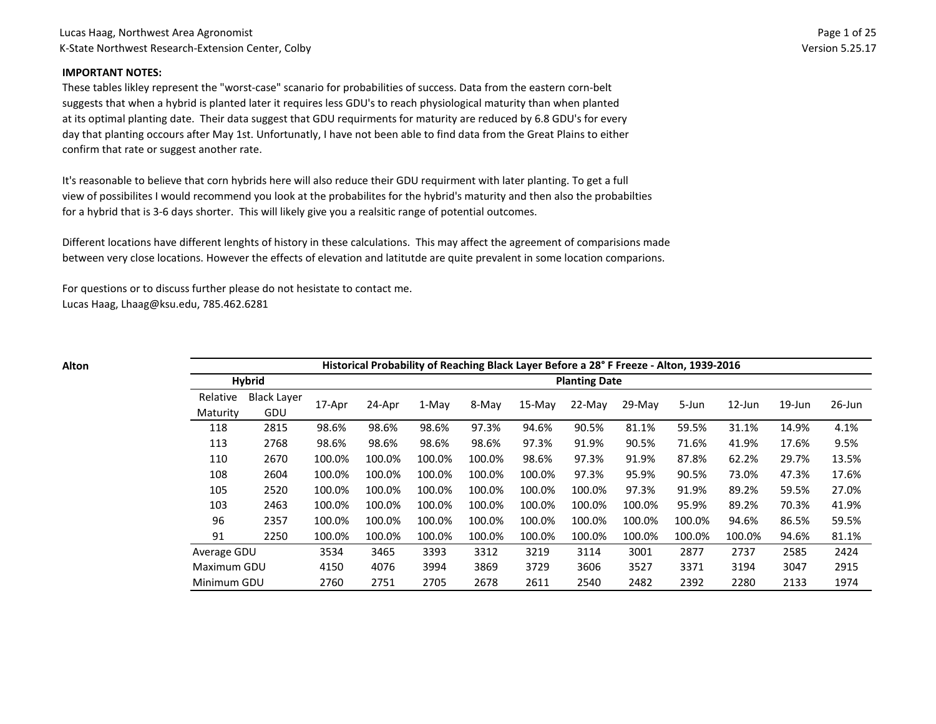#### **IMPORTANT NOTES:**

These tables likley represent the "worst-case" scanario for probabilities of success. Data from the eastern corn-belt suggests that when a hybrid is planted later it requires less GDU's to reach physiological maturity than when planted at its optimal planting date. Their data suggest that GDU requirments for maturity are reduced by 6.8 GDU's for every day that planting occours after May 1st. Unfortunatly, I have not been able to find data from the Great Plains to either confirm that rate or suggest another rate.

It's reasonable to believe that corn hybrids here will also reduce their GDU requirment with later planting. To get a full view of possibilites I would recommend you look at the probabilites for the hybrid's maturity and then also the probabilties for a hybrid that is 3-6 days shorter. This will likely give you a realsitic range of potential outcomes.

Different locations have different lenghts of history in these calculations. This may affect the agreement of comparisions made between very close locations. However the effects of elevation and latitutde are quite prevalent in some location comparions.

For questions or to discuss further please do not hesistate to contact me. Lucas Haag, Lhaag@ksu.edu, 785.462.6281

| I<br>×<br>۰.<br>×<br>۰, |
|-------------------------|
|-------------------------|

|             | Historical Probability of Reaching Black Layer Before a 28° F Freeze - Alton, 1939-2016 |        |        |        |        |        |                      |          |        |           |           |           |  |
|-------------|-----------------------------------------------------------------------------------------|--------|--------|--------|--------|--------|----------------------|----------|--------|-----------|-----------|-----------|--|
|             | <b>Hybrid</b>                                                                           |        |        |        |        |        | <b>Planting Date</b> |          |        |           |           |           |  |
| Relative    | <b>Black Layer</b>                                                                      | 17-Apr | 24-Apr | 1-May  | 8-May  | 15-May | $22-Mav$             | $29-Mav$ | 5-Jun  | $12$ -Jun | $19$ -Jun | $26$ -Jun |  |
| Maturity    | GDU                                                                                     |        |        |        |        |        |                      |          |        |           |           |           |  |
| 118         | 2815                                                                                    | 98.6%  | 98.6%  | 98.6%  | 97.3%  | 94.6%  | 90.5%                | 81.1%    | 59.5%  | 31.1%     | 14.9%     | 4.1%      |  |
| 113         | 2768                                                                                    | 98.6%  | 98.6%  | 98.6%  | 98.6%  | 97.3%  | 91.9%                | 90.5%    | 71.6%  | 41.9%     | 17.6%     | 9.5%      |  |
| 110         | 2670                                                                                    | 100.0% | 100.0% | 100.0% | 100.0% | 98.6%  | 97.3%                | 91.9%    | 87.8%  | 62.2%     | 29.7%     | 13.5%     |  |
| 108         | 2604                                                                                    | 100.0% | 100.0% | 100.0% | 100.0% | 100.0% | 97.3%                | 95.9%    | 90.5%  | 73.0%     | 47.3%     | 17.6%     |  |
| 105         | 2520                                                                                    | 100.0% | 100.0% | 100.0% | 100.0% | 100.0% | 100.0%               | 97.3%    | 91.9%  | 89.2%     | 59.5%     | 27.0%     |  |
| 103         | 2463                                                                                    | 100.0% | 100.0% | 100.0% | 100.0% | 100.0% | 100.0%               | 100.0%   | 95.9%  | 89.2%     | 70.3%     | 41.9%     |  |
| 96          | 2357                                                                                    | 100.0% | 100.0% | 100.0% | 100.0% | 100.0% | 100.0%               | 100.0%   | 100.0% | 94.6%     | 86.5%     | 59.5%     |  |
| 91          | 2250                                                                                    | 100.0% | 100.0% | 100.0% | 100.0% | 100.0% | 100.0%               | 100.0%   | 100.0% | 100.0%    | 94.6%     | 81.1%     |  |
| Average GDU |                                                                                         | 3534   | 3465   | 3393   | 3312   | 3219   | 3114                 | 3001     | 2877   | 2737      | 2585      | 2424      |  |
| Maximum GDU |                                                                                         | 4150   | 4076   | 3994   | 3869   | 3729   | 3606                 | 3527     | 3371   | 3194      | 3047      | 2915      |  |
| Minimum GDU |                                                                                         | 2760   | 2751   | 2705   | 2678   | 2611   | 2540                 | 2482     | 2392   | 2280      | 2133      | 1974      |  |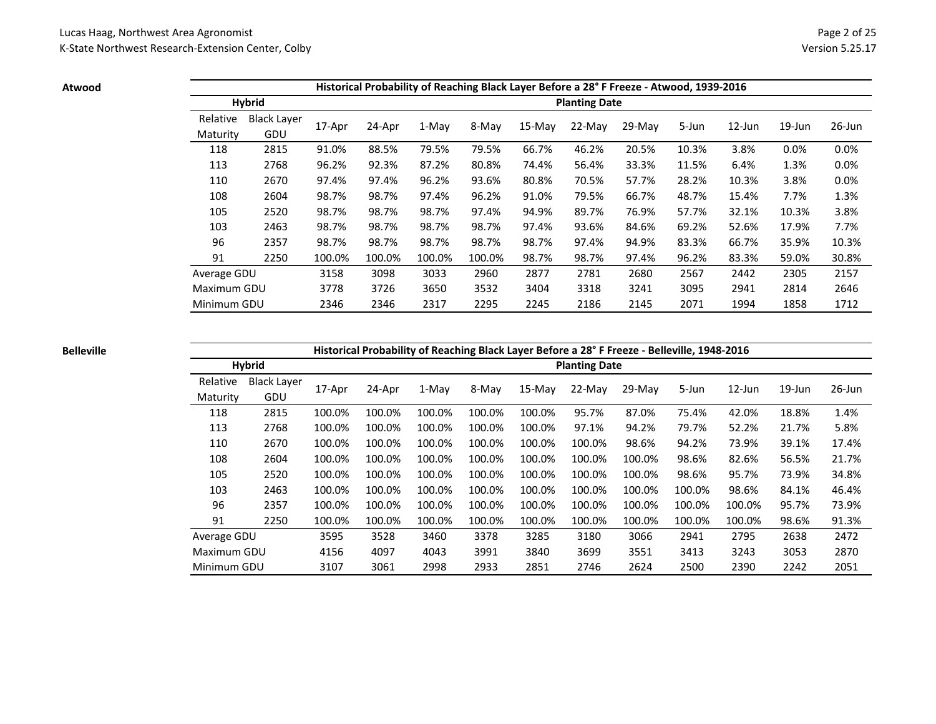**Atwood**

|             |                    |        |        |        |        |          |                      | Historical Probability of Reaching Black Layer Before a 28° F Freeze - Atwood, 1939-2016 |       |        |           |        |
|-------------|--------------------|--------|--------|--------|--------|----------|----------------------|------------------------------------------------------------------------------------------|-------|--------|-----------|--------|
|             | <b>Hybrid</b>      |        |        |        |        |          | <b>Planting Date</b> |                                                                                          |       |        |           |        |
| Relative    | <b>Black Laver</b> |        |        | 1-May  | 8-May  | $15-Mav$ | $22-Mav$             | $29-Mav$                                                                                 |       | 12-Jun | $19$ -Jun | 26-Jun |
| Maturity    | GDU                | 17-Apr | 24-Apr |        |        |          |                      |                                                                                          | 5-Jun |        |           |        |
| 118         | 2815               | 91.0%  | 88.5%  | 79.5%  | 79.5%  | 66.7%    | 46.2%                | 20.5%                                                                                    | 10.3% | 3.8%   | 0.0%      | 0.0%   |
| 113         | 2768               | 96.2%  | 92.3%  | 87.2%  | 80.8%  | 74.4%    | 56.4%                | 33.3%                                                                                    | 11.5% | 6.4%   | 1.3%      | 0.0%   |
| 110         | 2670               | 97.4%  | 97.4%  | 96.2%  | 93.6%  | 80.8%    | 70.5%                | 57.7%                                                                                    | 28.2% | 10.3%  | 3.8%      | 0.0%   |
| 108         | 2604               | 98.7%  | 98.7%  | 97.4%  | 96.2%  | 91.0%    | 79.5%                | 66.7%                                                                                    | 48.7% | 15.4%  | 7.7%      | 1.3%   |
| 105         | 2520               | 98.7%  | 98.7%  | 98.7%  | 97.4%  | 94.9%    | 89.7%                | 76.9%                                                                                    | 57.7% | 32.1%  | 10.3%     | 3.8%   |
| 103         | 2463               | 98.7%  | 98.7%  | 98.7%  | 98.7%  | 97.4%    | 93.6%                | 84.6%                                                                                    | 69.2% | 52.6%  | 17.9%     | 7.7%   |
| 96          | 2357               | 98.7%  | 98.7%  | 98.7%  | 98.7%  | 98.7%    | 97.4%                | 94.9%                                                                                    | 83.3% | 66.7%  | 35.9%     | 10.3%  |
| 91          | 2250               | 100.0% | 100.0% | 100.0% | 100.0% | 98.7%    | 98.7%                | 97.4%                                                                                    | 96.2% | 83.3%  | 59.0%     | 30.8%  |
| Average GDU |                    | 3158   | 3098   | 3033   | 2960   | 2877     | 2781                 | 2680                                                                                     | 2567  | 2442   | 2305      | 2157   |
| Maximum GDU |                    | 3778   | 3726   | 3650   | 3532   | 3404     | 3318                 | 3241                                                                                     | 3095  | 2941   | 2814      | 2646   |
| Minimum GDU |                    | 2346   | 2346   | 2317   | 2295   | 2245     | 2186                 | 2145                                                                                     | 2071  | 1994   | 1858      | 1712   |

### **Belleville**

# **Historical Probability of Reaching Black Layer Before a 28° F Freeze - Belleville, 1948-2016**

|             | <b>Hybrid</b>      |        |        | . .    | ັ      |          | <b>Planting Date</b> |        |        |           |           |           |
|-------------|--------------------|--------|--------|--------|--------|----------|----------------------|--------|--------|-----------|-----------|-----------|
| Relative    | <b>Black Layer</b> | 17-Apr | 24-Apr | 1-May  | 8-May  | $15-Mav$ | 22-May               | 29-May | 5-Jun  | $12$ -Jun | $19$ -Jun | $26$ -Jun |
| Maturity    | GDU                |        |        |        |        |          |                      |        |        |           |           |           |
| 118         | 2815               | 100.0% | 100.0% | 100.0% | 100.0% | 100.0%   | 95.7%                | 87.0%  | 75.4%  | 42.0%     | 18.8%     | 1.4%      |
| 113         | 2768               | 100.0% | 100.0% | 100.0% | 100.0% | 100.0%   | 97.1%                | 94.2%  | 79.7%  | 52.2%     | 21.7%     | 5.8%      |
| 110         | 2670               | 100.0% | 100.0% | 100.0% | 100.0% | 100.0%   | 100.0%               | 98.6%  | 94.2%  | 73.9%     | 39.1%     | 17.4%     |
| 108         | 2604               | 100.0% | 100.0% | 100.0% | 100.0% | 100.0%   | 100.0%               | 100.0% | 98.6%  | 82.6%     | 56.5%     | 21.7%     |
| 105         | 2520               | 100.0% | 100.0% | 100.0% | 100.0% | 100.0%   | 100.0%               | 100.0% | 98.6%  | 95.7%     | 73.9%     | 34.8%     |
| 103         | 2463               | 100.0% | 100.0% | 100.0% | 100.0% | 100.0%   | 100.0%               | 100.0% | 100.0% | 98.6%     | 84.1%     | 46.4%     |
| 96          | 2357               | 100.0% | 100.0% | 100.0% | 100.0% | 100.0%   | 100.0%               | 100.0% | 100.0% | 100.0%    | 95.7%     | 73.9%     |
| 91          | 2250               | 100.0% | 100.0% | 100.0% | 100.0% | 100.0%   | 100.0%               | 100.0% | 100.0% | 100.0%    | 98.6%     | 91.3%     |
| Average GDU |                    | 3595   | 3528   | 3460   | 3378   | 3285     | 3180                 | 3066   | 2941   | 2795      | 2638      | 2472      |
| Maximum GDU |                    | 4156   | 4097   | 4043   | 3991   | 3840     | 3699                 | 3551   | 3413   | 3243      | 3053      | 2870      |
| Minimum GDU |                    | 3107   | 3061   | 2998   | 2933   | 2851     | 2746                 | 2624   | 2500   | 2390      | 2242      | 2051      |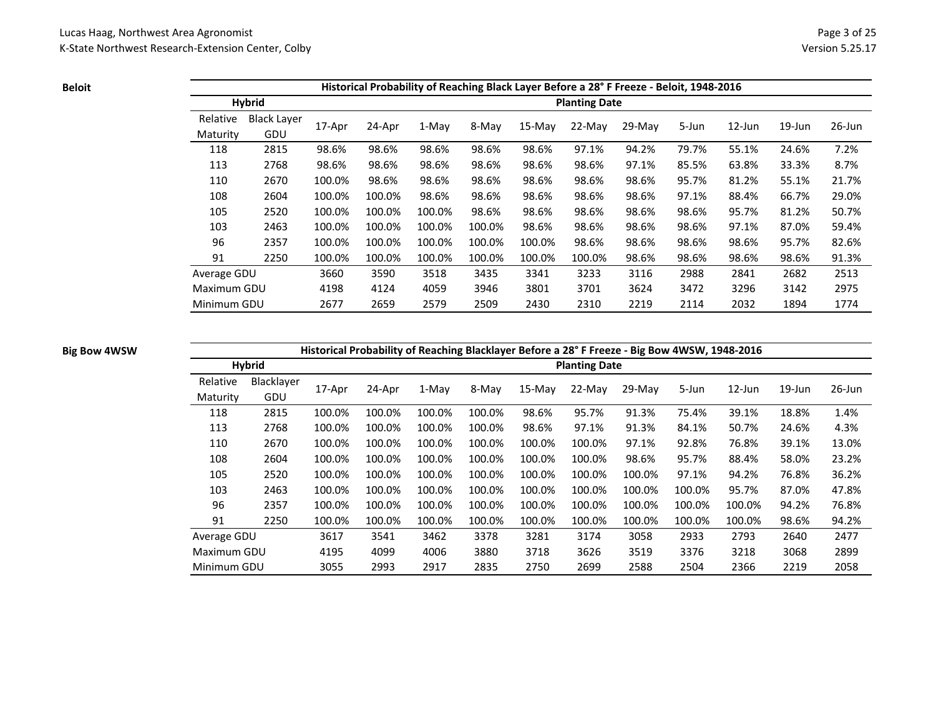**Beloit**

|             | Historical Probability of Reaching Black Layer Before a 28° F Freeze - Beloit, 1948-2016 |        |        |        |        |           |                      |          |       |           |           |        |  |  |
|-------------|------------------------------------------------------------------------------------------|--------|--------|--------|--------|-----------|----------------------|----------|-------|-----------|-----------|--------|--|--|
|             | <b>Hybrid</b>                                                                            |        |        |        |        |           | <b>Planting Date</b> |          |       |           |           |        |  |  |
| Relative    | <b>Black Layer</b>                                                                       |        | 24-Apr | 1-May  |        |           | $22-Mav$             | $29-Mav$ | 5-Jun | $12$ -Jun | $19$ -Jun | 26-Jun |  |  |
| Maturity    | GDU                                                                                      | 17-Apr |        |        | 8-May  | $15$ -May |                      |          |       |           |           |        |  |  |
| 118         | 2815                                                                                     | 98.6%  | 98.6%  | 98.6%  | 98.6%  | 98.6%     | 97.1%                | 94.2%    | 79.7% | 55.1%     | 24.6%     | 7.2%   |  |  |
| 113         | 2768                                                                                     | 98.6%  | 98.6%  | 98.6%  | 98.6%  | 98.6%     | 98.6%                | 97.1%    | 85.5% | 63.8%     | 33.3%     | 8.7%   |  |  |
| 110         | 2670                                                                                     | 100.0% | 98.6%  | 98.6%  | 98.6%  | 98.6%     | 98.6%                | 98.6%    | 95.7% | 81.2%     | 55.1%     | 21.7%  |  |  |
| 108         | 2604                                                                                     | 100.0% | 100.0% | 98.6%  | 98.6%  | 98.6%     | 98.6%                | 98.6%    | 97.1% | 88.4%     | 66.7%     | 29.0%  |  |  |
| 105         | 2520                                                                                     | 100.0% | 100.0% | 100.0% | 98.6%  | 98.6%     | 98.6%                | 98.6%    | 98.6% | 95.7%     | 81.2%     | 50.7%  |  |  |
| 103         | 2463                                                                                     | 100.0% | 100.0% | 100.0% | 100.0% | 98.6%     | 98.6%                | 98.6%    | 98.6% | 97.1%     | 87.0%     | 59.4%  |  |  |
| 96          | 2357                                                                                     | 100.0% | 100.0% | 100.0% | 100.0% | 100.0%    | 98.6%                | 98.6%    | 98.6% | 98.6%     | 95.7%     | 82.6%  |  |  |
| 91          | 2250                                                                                     | 100.0% | 100.0% | 100.0% | 100.0% | 100.0%    | 100.0%               | 98.6%    | 98.6% | 98.6%     | 98.6%     | 91.3%  |  |  |
| Average GDU |                                                                                          | 3660   | 3590   | 3518   | 3435   | 3341      | 3233                 | 3116     | 2988  | 2841      | 2682      | 2513   |  |  |
| Maximum GDU |                                                                                          | 4198   | 4124   | 4059   | 3946   | 3801      | 3701                 | 3624     | 3472  | 3296      | 3142      | 2975   |  |  |
| Minimum GDU |                                                                                          | 2677   | 2659   | 2579   | 2509   | 2430      | 2310                 | 2219     | 2114  | 2032      | 1894      | 1774   |  |  |

### **Big Bow 4WSW**

# **Historical Probability of Reaching Blacklayer Before a 28° F Freeze - Big Bow 4WSW, 1948-2016**

|             | <b>Hybrid</b> |        |        | -------------- |        |        | <b>Planting Date</b> | - 0    |        |           |           |           |
|-------------|---------------|--------|--------|----------------|--------|--------|----------------------|--------|--------|-----------|-----------|-----------|
| Relative    | Blacklayer    | 17-Apr | 24-Apr | 1-May          | 8-May  | 15-May | 22-May               | 29-May | 5-Jun  | $12$ -Jun | $19$ -Jun | $26$ -Jun |
| Maturity    | GDU           |        |        |                |        |        |                      |        |        |           |           |           |
| 118         | 2815          | 100.0% | 100.0% | 100.0%         | 100.0% | 98.6%  | 95.7%                | 91.3%  | 75.4%  | 39.1%     | 18.8%     | 1.4%      |
| 113         | 2768          | 100.0% | 100.0% | 100.0%         | 100.0% | 98.6%  | 97.1%                | 91.3%  | 84.1%  | 50.7%     | 24.6%     | 4.3%      |
| 110         | 2670          | 100.0% | 100.0% | 100.0%         | 100.0% | 100.0% | 100.0%               | 97.1%  | 92.8%  | 76.8%     | 39.1%     | 13.0%     |
| 108         | 2604          | 100.0% | 100.0% | 100.0%         | 100.0% | 100.0% | 100.0%               | 98.6%  | 95.7%  | 88.4%     | 58.0%     | 23.2%     |
| 105         | 2520          | 100.0% | 100.0% | 100.0%         | 100.0% | 100.0% | 100.0%               | 100.0% | 97.1%  | 94.2%     | 76.8%     | 36.2%     |
| 103         | 2463          | 100.0% | 100.0% | 100.0%         | 100.0% | 100.0% | 100.0%               | 100.0% | 100.0% | 95.7%     | 87.0%     | 47.8%     |
| 96          | 2357          | 100.0% | 100.0% | 100.0%         | 100.0% | 100.0% | 100.0%               | 100.0% | 100.0% | 100.0%    | 94.2%     | 76.8%     |
| 91          | 2250          | 100.0% | 100.0% | 100.0%         | 100.0% | 100.0% | 100.0%               | 100.0% | 100.0% | 100.0%    | 98.6%     | 94.2%     |
| Average GDU |               | 3617   | 3541   | 3462           | 3378   | 3281   | 3174                 | 3058   | 2933   | 2793      | 2640      | 2477      |
| Maximum GDU |               | 4195   | 4099   | 4006           | 3880   | 3718   | 3626                 | 3519   | 3376   | 3218      | 3068      | 2899      |
| Minimum GDU |               | 3055   | 2993   | 2917           | 2835   | 2750   | 2699                 | 2588   | 2504   | 2366      | 2219      | 2058      |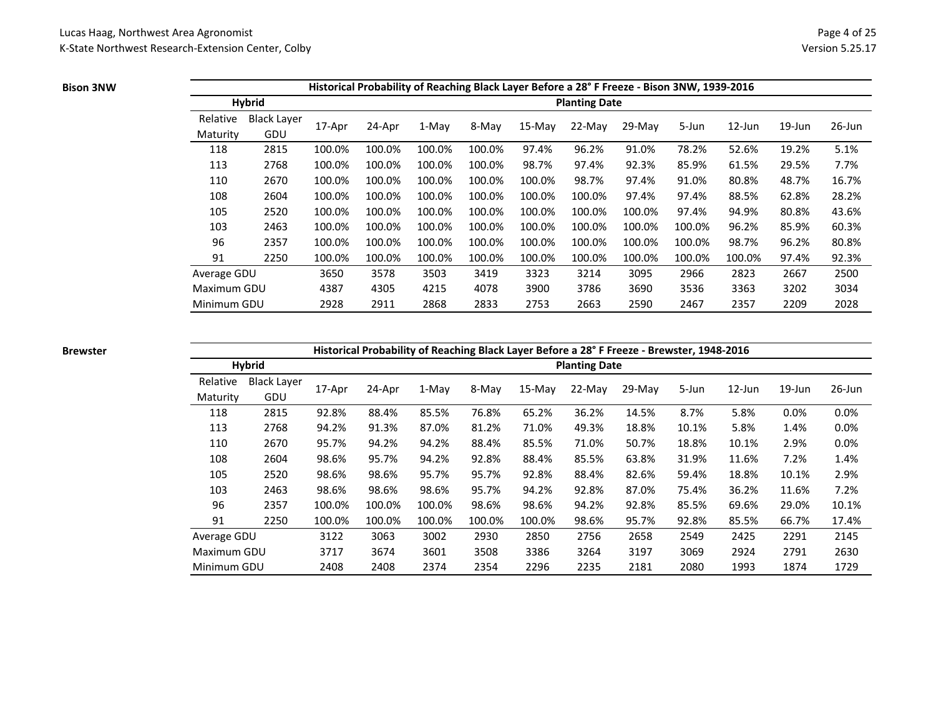#### **Bison 3NW**

|             |                    |        | Historical Probability of Reaching Black Layer Before a 28° F Freeze - Bison 3NW, 1939-2016 |        |        |           |                      |          |        |           |           |           |
|-------------|--------------------|--------|---------------------------------------------------------------------------------------------|--------|--------|-----------|----------------------|----------|--------|-----------|-----------|-----------|
|             | Hybrid             |        |                                                                                             |        |        |           | <b>Planting Date</b> |          |        |           |           |           |
| Relative    | <b>Black Layer</b> |        |                                                                                             | 1-May  |        |           | $22-Mav$             |          |        | $12$ -Jun | $19$ -Jun | $26$ -Jun |
| Maturity    | GDU                | 17-Apr | 24-Apr                                                                                      |        | 8-May  | $15$ -May |                      | $29-Mav$ | 5-Jun  |           |           |           |
| 118         | 2815               | 100.0% | 100.0%                                                                                      | 100.0% | 100.0% | 97.4%     | 96.2%                | 91.0%    | 78.2%  | 52.6%     | 19.2%     | 5.1%      |
| 113         | 2768               | 100.0% | 100.0%                                                                                      | 100.0% | 100.0% | 98.7%     | 97.4%                | 92.3%    | 85.9%  | 61.5%     | 29.5%     | 7.7%      |
| 110         | 2670               | 100.0% | 100.0%                                                                                      | 100.0% | 100.0% | 100.0%    | 98.7%                | 97.4%    | 91.0%  | 80.8%     | 48.7%     | 16.7%     |
| 108         | 2604               | 100.0% | 100.0%                                                                                      | 100.0% | 100.0% | 100.0%    | 100.0%               | 97.4%    | 97.4%  | 88.5%     | 62.8%     | 28.2%     |
| 105         | 2520               | 100.0% | 100.0%                                                                                      | 100.0% | 100.0% | 100.0%    | 100.0%               | 100.0%   | 97.4%  | 94.9%     | 80.8%     | 43.6%     |
| 103         | 2463               | 100.0% | 100.0%                                                                                      | 100.0% | 100.0% | 100.0%    | 100.0%               | 100.0%   | 100.0% | 96.2%     | 85.9%     | 60.3%     |
| 96          | 2357               | 100.0% | 100.0%                                                                                      | 100.0% | 100.0% | 100.0%    | 100.0%               | 100.0%   | 100.0% | 98.7%     | 96.2%     | 80.8%     |
| 91          | 2250               | 100.0% | 100.0%                                                                                      | 100.0% | 100.0% | 100.0%    | 100.0%               | 100.0%   | 100.0% | 100.0%    | 97.4%     | 92.3%     |
| Average GDU |                    | 3650   | 3578                                                                                        | 3503   | 3419   | 3323      | 3214                 | 3095     | 2966   | 2823      | 2667      | 2500      |
| Maximum GDU |                    | 4387   | 4305                                                                                        | 4215   | 4078   | 3900      | 3786                 | 3690     | 3536   | 3363      | 3202      | 3034      |
| Minimum GDU |                    | 2928   | 2911                                                                                        | 2868   | 2833   | 2753      | 2663                 | 2590     | 2467   | 2357      | 2209      | 2028      |

### **Brewster**

# **Historical Probability of Reaching Black Layer Before a 28° F Freeze - Brewster, 1948-2016**

|             | <b>Hybrid</b>      |        |        |        |        |          | <b>Planting Date</b> |          |       |           |           |           |
|-------------|--------------------|--------|--------|--------|--------|----------|----------------------|----------|-------|-----------|-----------|-----------|
| Relative    | <b>Black Layer</b> | 17-Apr | 24-Apr | 1-May  | 8-May  | $15-Mav$ | 22-May               | $29-Mav$ | 5-Jun | $12$ -Jun | $19$ -Jun | $26$ -Jun |
| Maturity    | <b>GDU</b>         |        |        |        |        |          |                      |          |       |           |           |           |
| 118         | 2815               | 92.8%  | 88.4%  | 85.5%  | 76.8%  | 65.2%    | 36.2%                | 14.5%    | 8.7%  | 5.8%      | 0.0%      | 0.0%      |
| 113         | 2768               | 94.2%  | 91.3%  | 87.0%  | 81.2%  | 71.0%    | 49.3%                | 18.8%    | 10.1% | 5.8%      | 1.4%      | 0.0%      |
| 110         | 2670               | 95.7%  | 94.2%  | 94.2%  | 88.4%  | 85.5%    | 71.0%                | 50.7%    | 18.8% | 10.1%     | 2.9%      | 0.0%      |
| 108         | 2604               | 98.6%  | 95.7%  | 94.2%  | 92.8%  | 88.4%    | 85.5%                | 63.8%    | 31.9% | 11.6%     | 7.2%      | 1.4%      |
| 105         | 2520               | 98.6%  | 98.6%  | 95.7%  | 95.7%  | 92.8%    | 88.4%                | 82.6%    | 59.4% | 18.8%     | 10.1%     | 2.9%      |
| 103         | 2463               | 98.6%  | 98.6%  | 98.6%  | 95.7%  | 94.2%    | 92.8%                | 87.0%    | 75.4% | 36.2%     | 11.6%     | 7.2%      |
| 96          | 2357               | 100.0% | 100.0% | 100.0% | 98.6%  | 98.6%    | 94.2%                | 92.8%    | 85.5% | 69.6%     | 29.0%     | 10.1%     |
| 91          | 2250               | 100.0% | 100.0% | 100.0% | 100.0% | 100.0%   | 98.6%                | 95.7%    | 92.8% | 85.5%     | 66.7%     | 17.4%     |
| Average GDU |                    | 3122   | 3063   | 3002   | 2930   | 2850     | 2756                 | 2658     | 2549  | 2425      | 2291      | 2145      |
| Maximum GDU |                    | 3717   | 3674   | 3601   | 3508   | 3386     | 3264                 | 3197     | 3069  | 2924      | 2791      | 2630      |
| Minimum GDU |                    | 2408   | 2408   | 2374   | 2354   | 2296     | 2235                 | 2181     | 2080  | 1993      | 1874      | 1729      |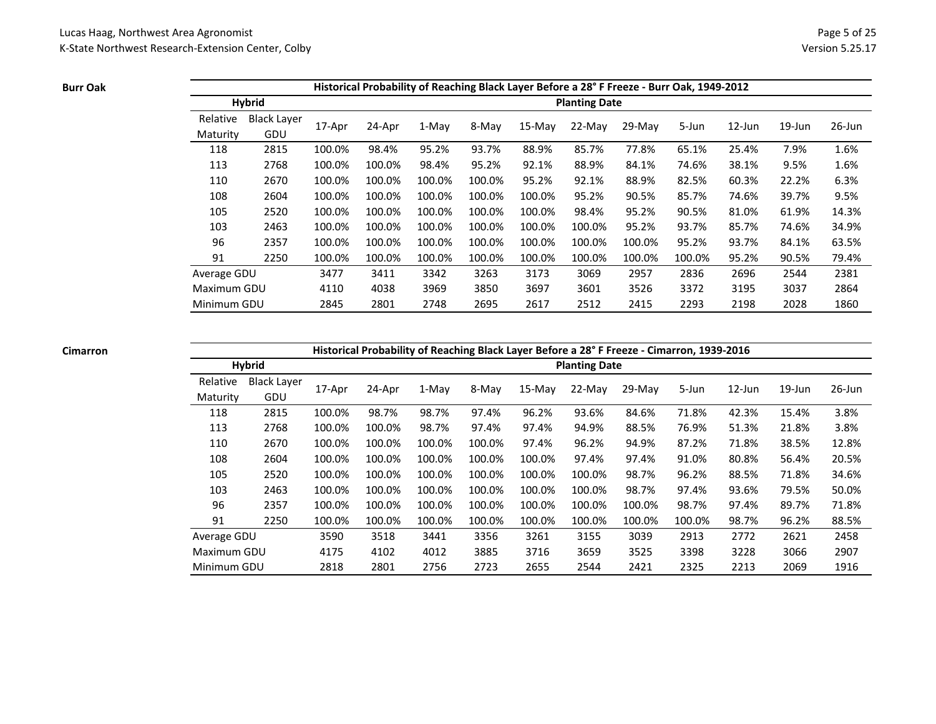**Burr Oak**

|             |                    |        |        |        |        |          |                      | Historical Probability of Reaching Black Layer Before a 28° F Freeze - Burr Oak, 1949-2012 |        |        |           |           |
|-------------|--------------------|--------|--------|--------|--------|----------|----------------------|--------------------------------------------------------------------------------------------|--------|--------|-----------|-----------|
|             | <b>Hybrid</b>      |        |        |        |        |          | <b>Planting Date</b> |                                                                                            |        |        |           |           |
| Relative    | <b>Black Laver</b> |        |        |        |        |          | 22-May               | 29-May                                                                                     | 5-Jun  | 12-Jun | $19$ -Jun | $26$ -Jun |
| Maturity    | GDU                | 17-Apr | 24-Apr | 1-May  | 8-May  | $15-Mav$ |                      |                                                                                            |        |        |           |           |
| 118         | 2815               | 100.0% | 98.4%  | 95.2%  | 93.7%  | 88.9%    | 85.7%                | 77.8%                                                                                      | 65.1%  | 25.4%  | 7.9%      | 1.6%      |
| 113         | 2768               | 100.0% | 100.0% | 98.4%  | 95.2%  | 92.1%    | 88.9%                | 84.1%                                                                                      | 74.6%  | 38.1%  | 9.5%      | 1.6%      |
| 110         | 2670               | 100.0% | 100.0% | 100.0% | 100.0% | 95.2%    | 92.1%                | 88.9%                                                                                      | 82.5%  | 60.3%  | 22.2%     | 6.3%      |
| 108         | 2604               | 100.0% | 100.0% | 100.0% | 100.0% | 100.0%   | 95.2%                | 90.5%                                                                                      | 85.7%  | 74.6%  | 39.7%     | 9.5%      |
| 105         | 2520               | 100.0% | 100.0% | 100.0% | 100.0% | 100.0%   | 98.4%                | 95.2%                                                                                      | 90.5%  | 81.0%  | 61.9%     | 14.3%     |
| 103         | 2463               | 100.0% | 100.0% | 100.0% | 100.0% | 100.0%   | 100.0%               | 95.2%                                                                                      | 93.7%  | 85.7%  | 74.6%     | 34.9%     |
| 96          | 2357               | 100.0% | 100.0% | 100.0% | 100.0% | 100.0%   | 100.0%               | 100.0%                                                                                     | 95.2%  | 93.7%  | 84.1%     | 63.5%     |
| 91          | 2250               | 100.0% | 100.0% | 100.0% | 100.0% | 100.0%   | 100.0%               | 100.0%                                                                                     | 100.0% | 95.2%  | 90.5%     | 79.4%     |
| Average GDU |                    | 3477   | 3411   | 3342   | 3263   | 3173     | 3069                 | 2957                                                                                       | 2836   | 2696   | 2544      | 2381      |
| Maximum GDU |                    | 4110   | 4038   | 3969   | 3850   | 3697     | 3601                 | 3526                                                                                       | 3372   | 3195   | 3037      | 2864      |
| Minimum GDU |                    | 2845   | 2801   | 2748   | 2695   | 2617     | 2512                 | 2415                                                                                       | 2293   | 2198   | 2028      | 1860      |

#### **Cimarron**

**Historical Probability of Reaching Black Layer Before a 28° F Freeze - Cimarron, 1939-2016**

|             | <b>Hybrid</b> |        |        | -- ----------- <b>0</b> |        |        | <b>Planting Date</b> |        |        |           |           |           |
|-------------|---------------|--------|--------|-------------------------|--------|--------|----------------------|--------|--------|-----------|-----------|-----------|
| Relative    | Black Layer   | 17-Apr | 24-Apr | 1-May                   | 8-May  | 15-May | 22-May               | 29-May | 5-Jun  | $12$ -Jun | $19$ -Jun | $26$ -Jun |
| Maturity    | GDU           |        |        |                         |        |        |                      |        |        |           |           |           |
| 118         | 2815          | 100.0% | 98.7%  | 98.7%                   | 97.4%  | 96.2%  | 93.6%                | 84.6%  | 71.8%  | 42.3%     | 15.4%     | 3.8%      |
| 113         | 2768          | 100.0% | 100.0% | 98.7%                   | 97.4%  | 97.4%  | 94.9%                | 88.5%  | 76.9%  | 51.3%     | 21.8%     | 3.8%      |
| 110         | 2670          | 100.0% | 100.0% | 100.0%                  | 100.0% | 97.4%  | 96.2%                | 94.9%  | 87.2%  | 71.8%     | 38.5%     | 12.8%     |
| 108         | 2604          | 100.0% | 100.0% | 100.0%                  | 100.0% | 100.0% | 97.4%                | 97.4%  | 91.0%  | 80.8%     | 56.4%     | 20.5%     |
| 105         | 2520          | 100.0% | 100.0% | 100.0%                  | 100.0% | 100.0% | 100.0%               | 98.7%  | 96.2%  | 88.5%     | 71.8%     | 34.6%     |
| 103         | 2463          | 100.0% | 100.0% | 100.0%                  | 100.0% | 100.0% | 100.0%               | 98.7%  | 97.4%  | 93.6%     | 79.5%     | 50.0%     |
| 96          | 2357          | 100.0% | 100.0% | 100.0%                  | 100.0% | 100.0% | 100.0%               | 100.0% | 98.7%  | 97.4%     | 89.7%     | 71.8%     |
| 91          | 2250          | 100.0% | 100.0% | 100.0%                  | 100.0% | 100.0% | 100.0%               | 100.0% | 100.0% | 98.7%     | 96.2%     | 88.5%     |
| Average GDU |               | 3590   | 3518   | 3441                    | 3356   | 3261   | 3155                 | 3039   | 2913   | 2772      | 2621      | 2458      |
| Maximum GDU |               | 4175   | 4102   | 4012                    | 3885   | 3716   | 3659                 | 3525   | 3398   | 3228      | 3066      | 2907      |
| Minimum GDU |               | 2818   | 2801   | 2756                    | 2723   | 2655   | 2544                 | 2421   | 2325   | 2213      | 2069      | 1916      |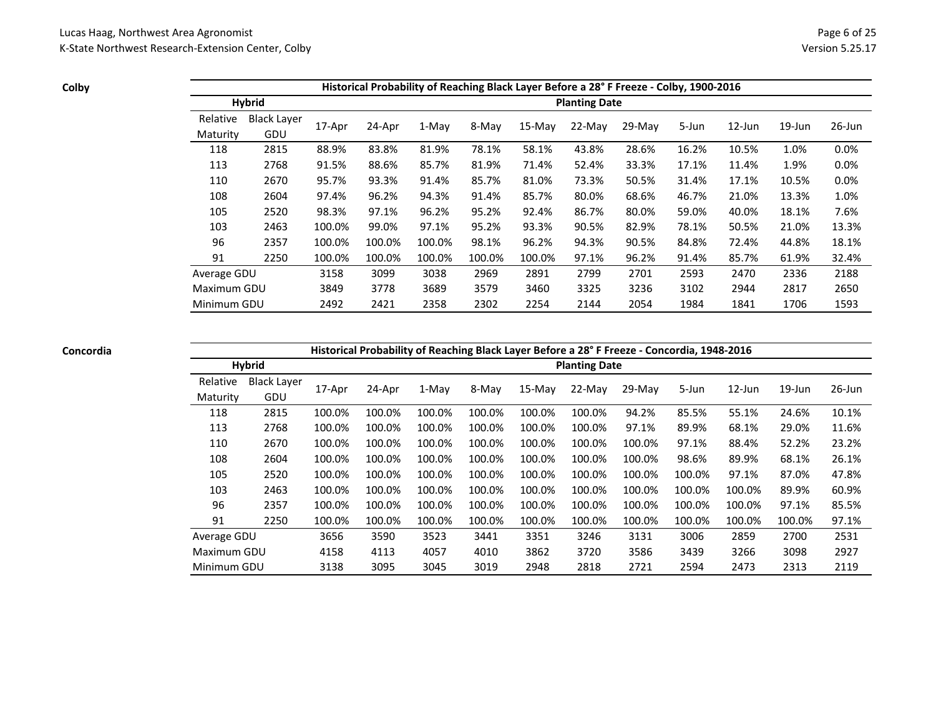**Colby**

|             | Historical Probability of Reaching Black Layer Before a 28° F Freeze - Colby, 1900-2016 |        |        |         |        |           |                      |          |       |           |           |        |  |  |
|-------------|-----------------------------------------------------------------------------------------|--------|--------|---------|--------|-----------|----------------------|----------|-------|-----------|-----------|--------|--|--|
|             | <b>Hybrid</b>                                                                           |        |        |         |        |           | <b>Planting Date</b> |          |       |           |           |        |  |  |
| Relative    | Black Layer                                                                             |        |        |         |        |           |                      |          |       |           |           |        |  |  |
| Maturity    | GDU                                                                                     | 17-Apr | 24-Apr | $1-Mav$ | 8-May  | $15$ -May | 22-May               | $29-Mav$ | 5-Jun | $12$ -Jun | $19$ -Jun | 26-Jun |  |  |
| 118         | 2815                                                                                    | 88.9%  | 83.8%  | 81.9%   | 78.1%  | 58.1%     | 43.8%                | 28.6%    | 16.2% | 10.5%     | 1.0%      | 0.0%   |  |  |
| 113         | 2768                                                                                    | 91.5%  | 88.6%  | 85.7%   | 81.9%  | 71.4%     | 52.4%                | 33.3%    | 17.1% | 11.4%     | 1.9%      | 0.0%   |  |  |
| 110         | 2670                                                                                    | 95.7%  | 93.3%  | 91.4%   | 85.7%  | 81.0%     | 73.3%                | 50.5%    | 31.4% | 17.1%     | 10.5%     | 0.0%   |  |  |
| 108         | 2604                                                                                    | 97.4%  | 96.2%  | 94.3%   | 91.4%  | 85.7%     | 80.0%                | 68.6%    | 46.7% | 21.0%     | 13.3%     | 1.0%   |  |  |
| 105         | 2520                                                                                    | 98.3%  | 97.1%  | 96.2%   | 95.2%  | 92.4%     | 86.7%                | 80.0%    | 59.0% | 40.0%     | 18.1%     | 7.6%   |  |  |
| 103         | 2463                                                                                    | 100.0% | 99.0%  | 97.1%   | 95.2%  | 93.3%     | 90.5%                | 82.9%    | 78.1% | 50.5%     | 21.0%     | 13.3%  |  |  |
| 96          | 2357                                                                                    | 100.0% | 100.0% | 100.0%  | 98.1%  | 96.2%     | 94.3%                | 90.5%    | 84.8% | 72.4%     | 44.8%     | 18.1%  |  |  |
| 91          | 2250                                                                                    | 100.0% | 100.0% | 100.0%  | 100.0% | 100.0%    | 97.1%                | 96.2%    | 91.4% | 85.7%     | 61.9%     | 32.4%  |  |  |
| Average GDU |                                                                                         | 3158   | 3099   | 3038    | 2969   | 2891      | 2799                 | 2701     | 2593  | 2470      | 2336      | 2188   |  |  |
| Maximum GDU |                                                                                         | 3849   | 3778   | 3689    | 3579   | 3460      | 3325                 | 3236     | 3102  | 2944      | 2817      | 2650   |  |  |
| Minimum GDU |                                                                                         | 2492   | 2421   | 2358    | 2302   | 2254      | 2144                 | 2054     | 1984  | 1841      | 1706      | 1593   |  |  |

### **Concordia**

**Historical Probability of Reaching Black Layer Before a 28° F Freeze - Concordia, 1948-2016**

|             | <b>Hybrid</b>      |        |        | -- ----------- <sub>0</sub> |        |          | <b>Planting Date</b> |        |        |           |           |           |
|-------------|--------------------|--------|--------|-----------------------------|--------|----------|----------------------|--------|--------|-----------|-----------|-----------|
| Relative    | <b>Black Layer</b> | 17-Apr | 24-Apr | 1-May                       | 8-May  | $15-Mav$ | 22-May               | 29-May | 5-Jun  | $12$ -Jun | $19$ -Jun | $26$ -Jun |
| Maturity    | GDU                |        |        |                             |        |          |                      |        |        |           |           |           |
| 118         | 2815               | 100.0% | 100.0% | 100.0%                      | 100.0% | 100.0%   | 100.0%               | 94.2%  | 85.5%  | 55.1%     | 24.6%     | 10.1%     |
| 113         | 2768               | 100.0% | 100.0% | 100.0%                      | 100.0% | 100.0%   | 100.0%               | 97.1%  | 89.9%  | 68.1%     | 29.0%     | 11.6%     |
| 110         | 2670               | 100.0% | 100.0% | 100.0%                      | 100.0% | 100.0%   | 100.0%               | 100.0% | 97.1%  | 88.4%     | 52.2%     | 23.2%     |
| 108         | 2604               | 100.0% | 100.0% | 100.0%                      | 100.0% | 100.0%   | 100.0%               | 100.0% | 98.6%  | 89.9%     | 68.1%     | 26.1%     |
| 105         | 2520               | 100.0% | 100.0% | 100.0%                      | 100.0% | 100.0%   | 100.0%               | 100.0% | 100.0% | 97.1%     | 87.0%     | 47.8%     |
| 103         | 2463               | 100.0% | 100.0% | 100.0%                      | 100.0% | 100.0%   | 100.0%               | 100.0% | 100.0% | 100.0%    | 89.9%     | 60.9%     |
| 96          | 2357               | 100.0% | 100.0% | 100.0%                      | 100.0% | 100.0%   | 100.0%               | 100.0% | 100.0% | 100.0%    | 97.1%     | 85.5%     |
| 91          | 2250               | 100.0% | 100.0% | 100.0%                      | 100.0% | 100.0%   | 100.0%               | 100.0% | 100.0% | 100.0%    | 100.0%    | 97.1%     |
| Average GDU |                    | 3656   | 3590   | 3523                        | 3441   | 3351     | 3246                 | 3131   | 3006   | 2859      | 2700      | 2531      |
| Maximum GDU |                    | 4158   | 4113   | 4057                        | 4010   | 3862     | 3720                 | 3586   | 3439   | 3266      | 3098      | 2927      |
| Minimum GDU |                    | 3138   | 3095   | 3045                        | 3019   | 2948     | 2818                 | 2721   | 2594   | 2473      | 2313      | 2119      |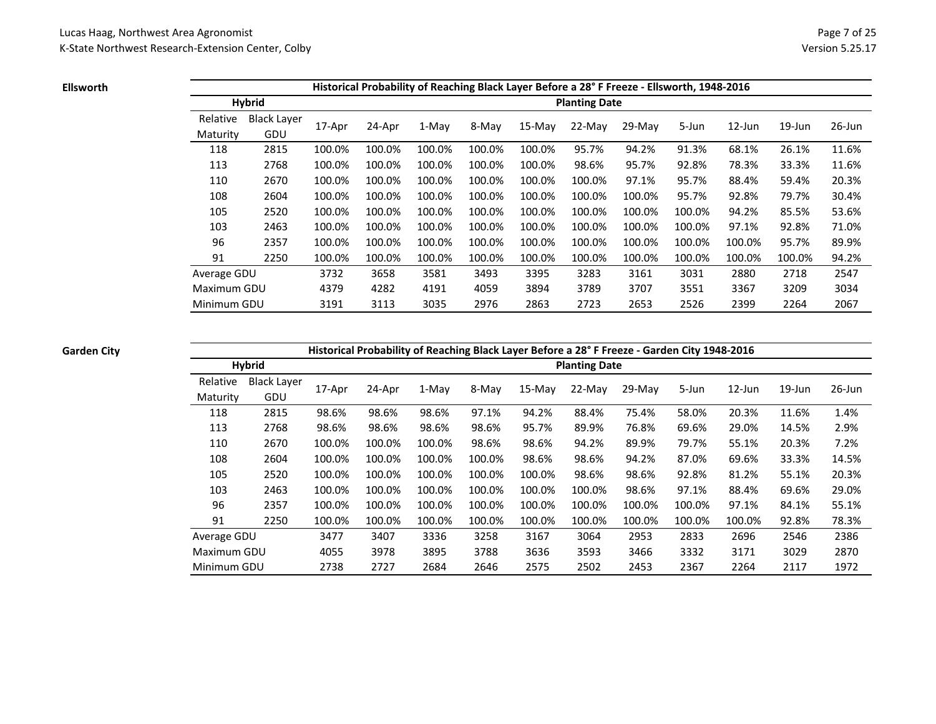**Ellsworth**

|             |                    |        | Historical Probability of Reaching Black Layer Before a 28° F Freeze - Ellsworth, 1948-2016 |        |        |          |                      |          |        |           |           |        |
|-------------|--------------------|--------|---------------------------------------------------------------------------------------------|--------|--------|----------|----------------------|----------|--------|-----------|-----------|--------|
|             | <b>Hybrid</b>      |        |                                                                                             |        |        |          | <b>Planting Date</b> |          |        |           |           |        |
| Relative    | <b>Black Layer</b> |        |                                                                                             |        |        | $15-Mav$ | $22-Mav$             | $29-Mav$ | 5-Jun  | $12$ -Jun | $19$ -Jun | 26-Jun |
| Maturity    | GDU                | 17-Apr | 24-Apr                                                                                      | 1-May  | 8-May  |          |                      |          |        |           |           |        |
| 118         | 2815               | 100.0% | 100.0%                                                                                      | 100.0% | 100.0% | 100.0%   | 95.7%                | 94.2%    | 91.3%  | 68.1%     | 26.1%     | 11.6%  |
| 113         | 2768               | 100.0% | 100.0%                                                                                      | 100.0% | 100.0% | 100.0%   | 98.6%                | 95.7%    | 92.8%  | 78.3%     | 33.3%     | 11.6%  |
| 110         | 2670               | 100.0% | 100.0%                                                                                      | 100.0% | 100.0% | 100.0%   | 100.0%               | 97.1%    | 95.7%  | 88.4%     | 59.4%     | 20.3%  |
| 108         | 2604               | 100.0% | 100.0%                                                                                      | 100.0% | 100.0% | 100.0%   | 100.0%               | 100.0%   | 95.7%  | 92.8%     | 79.7%     | 30.4%  |
| 105         | 2520               | 100.0% | 100.0%                                                                                      | 100.0% | 100.0% | 100.0%   | 100.0%               | 100.0%   | 100.0% | 94.2%     | 85.5%     | 53.6%  |
| 103         | 2463               | 100.0% | 100.0%                                                                                      | 100.0% | 100.0% | 100.0%   | 100.0%               | 100.0%   | 100.0% | 97.1%     | 92.8%     | 71.0%  |
| 96          | 2357               | 100.0% | 100.0%                                                                                      | 100.0% | 100.0% | 100.0%   | 100.0%               | 100.0%   | 100.0% | 100.0%    | 95.7%     | 89.9%  |
| 91          | 2250               | 100.0% | 100.0%                                                                                      | 100.0% | 100.0% | 100.0%   | 100.0%               | 100.0%   | 100.0% | 100.0%    | 100.0%    | 94.2%  |
| Average GDU |                    | 3732   | 3658                                                                                        | 3581   | 3493   | 3395     | 3283                 | 3161     | 3031   | 2880      | 2718      | 2547   |
| Maximum GDU |                    | 4379   | 4282                                                                                        | 4191   | 4059   | 3894     | 3789                 | 3707     | 3551   | 3367      | 3209      | 3034   |
| Minimum GDU |                    | 3191   | 3113                                                                                        | 3035   | 2976   | 2863     | 2723                 | 2653     | 2526   | 2399      | 2264      | 2067   |

**Garden City**

**Historical Probability of Reaching Black Layer Before a 28° F Freeze - Garden City 1948-2016**

|             | <b>Hybrid</b>      |        |        | - - - - - - - - - - 0 |        |          | <b>Planting Date</b> |        |        |           |           |           |
|-------------|--------------------|--------|--------|-----------------------|--------|----------|----------------------|--------|--------|-----------|-----------|-----------|
| Relative    | <b>Black Layer</b> | 17-Apr | 24-Apr | 1-May                 | 8-May  | $15-Mav$ | 22-May               | 29-May | 5-Jun  | $12$ -Jun | $19$ -Jun | $26$ -Jun |
| Maturity    | GDU                |        |        |                       |        |          |                      |        |        |           |           |           |
| 118         | 2815               | 98.6%  | 98.6%  | 98.6%                 | 97.1%  | 94.2%    | 88.4%                | 75.4%  | 58.0%  | 20.3%     | 11.6%     | 1.4%      |
| 113         | 2768               | 98.6%  | 98.6%  | 98.6%                 | 98.6%  | 95.7%    | 89.9%                | 76.8%  | 69.6%  | 29.0%     | 14.5%     | 2.9%      |
| 110         | 2670               | 100.0% | 100.0% | 100.0%                | 98.6%  | 98.6%    | 94.2%                | 89.9%  | 79.7%  | 55.1%     | 20.3%     | 7.2%      |
| 108         | 2604               | 100.0% | 100.0% | 100.0%                | 100.0% | 98.6%    | 98.6%                | 94.2%  | 87.0%  | 69.6%     | 33.3%     | 14.5%     |
| 105         | 2520               | 100.0% | 100.0% | 100.0%                | 100.0% | 100.0%   | 98.6%                | 98.6%  | 92.8%  | 81.2%     | 55.1%     | 20.3%     |
| 103         | 2463               | 100.0% | 100.0% | 100.0%                | 100.0% | 100.0%   | 100.0%               | 98.6%  | 97.1%  | 88.4%     | 69.6%     | 29.0%     |
| 96          | 2357               | 100.0% | 100.0% | 100.0%                | 100.0% | 100.0%   | 100.0%               | 100.0% | 100.0% | 97.1%     | 84.1%     | 55.1%     |
| 91          | 2250               | 100.0% | 100.0% | 100.0%                | 100.0% | 100.0%   | 100.0%               | 100.0% | 100.0% | 100.0%    | 92.8%     | 78.3%     |
| Average GDU |                    | 3477   | 3407   | 3336                  | 3258   | 3167     | 3064                 | 2953   | 2833   | 2696      | 2546      | 2386      |
| Maximum GDU |                    | 4055   | 3978   | 3895                  | 3788   | 3636     | 3593                 | 3466   | 3332   | 3171      | 3029      | 2870      |
| Minimum GDU |                    | 2738   | 2727   | 2684                  | 2646   | 2575     | 2502                 | 2453   | 2367   | 2264      | 2117      | 1972      |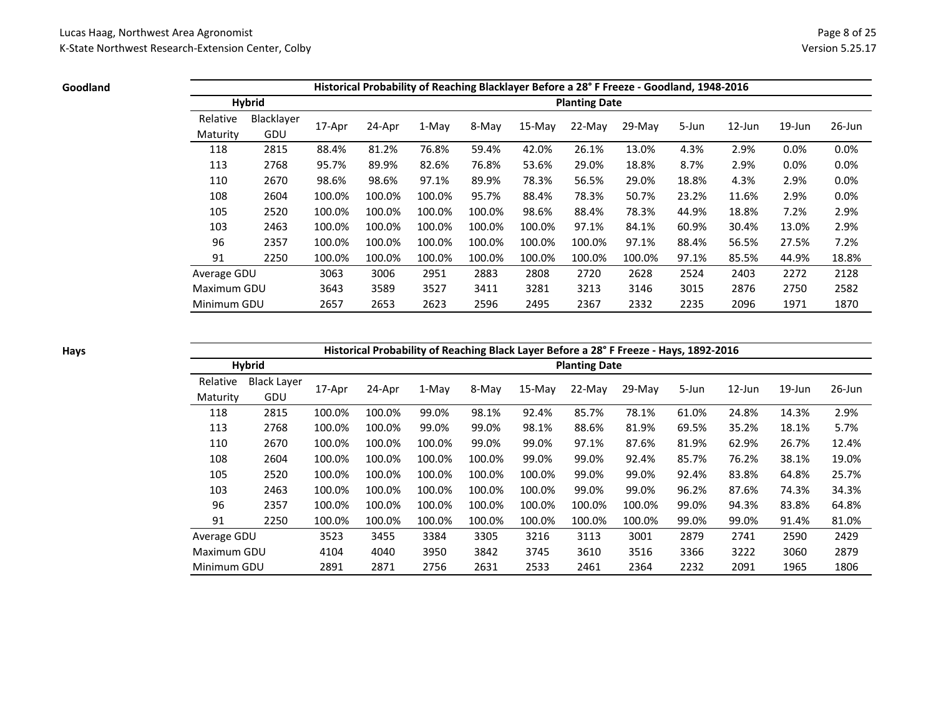#### **Goodland**

|             |               |        |        |        |        |          |                      | Historical Probability of Reaching Blacklayer Before a 28° F Freeze - Goodland, 1948-2016 |       |           |           |           |
|-------------|---------------|--------|--------|--------|--------|----------|----------------------|-------------------------------------------------------------------------------------------|-------|-----------|-----------|-----------|
|             | <b>Hybrid</b> |        |        |        |        |          | <b>Planting Date</b> |                                                                                           |       |           |           |           |
| Relative    | Blacklayer    |        |        |        |        |          | $22-Mav$             | 29-May                                                                                    |       | $12$ -Jun | $19$ -Jun | $26$ -Jun |
| Maturity    | GDU           | 17-Apr | 24-Apr | 1-May  | 8-May  | $15-Mav$ |                      |                                                                                           | 5-Jun |           |           |           |
| 118         | 2815          | 88.4%  | 81.2%  | 76.8%  | 59.4%  | 42.0%    | 26.1%                | 13.0%                                                                                     | 4.3%  | 2.9%      | 0.0%      | 0.0%      |
| 113         | 2768          | 95.7%  | 89.9%  | 82.6%  | 76.8%  | 53.6%    | 29.0%                | 18.8%                                                                                     | 8.7%  | 2.9%      | 0.0%      | 0.0%      |
| 110         | 2670          | 98.6%  | 98.6%  | 97.1%  | 89.9%  | 78.3%    | 56.5%                | 29.0%                                                                                     | 18.8% | 4.3%      | 2.9%      | 0.0%      |
| 108         | 2604          | 100.0% | 100.0% | 100.0% | 95.7%  | 88.4%    | 78.3%                | 50.7%                                                                                     | 23.2% | 11.6%     | 2.9%      | 0.0%      |
| 105         | 2520          | 100.0% | 100.0% | 100.0% | 100.0% | 98.6%    | 88.4%                | 78.3%                                                                                     | 44.9% | 18.8%     | 7.2%      | 2.9%      |
| 103         | 2463          | 100.0% | 100.0% | 100.0% | 100.0% | 100.0%   | 97.1%                | 84.1%                                                                                     | 60.9% | 30.4%     | 13.0%     | 2.9%      |
| 96          | 2357          | 100.0% | 100.0% | 100.0% | 100.0% | 100.0%   | 100.0%               | 97.1%                                                                                     | 88.4% | 56.5%     | 27.5%     | 7.2%      |
| 91          | 2250          | 100.0% | 100.0% | 100.0% | 100.0% | 100.0%   | 100.0%               | 100.0%                                                                                    | 97.1% | 85.5%     | 44.9%     | 18.8%     |
| Average GDU |               | 3063   | 3006   | 2951   | 2883   | 2808     | 2720                 | 2628                                                                                      | 2524  | 2403      | 2272      | 2128      |
| Maximum GDU |               | 3643   | 3589   | 3527   | 3411   | 3281     | 3213                 | 3146                                                                                      | 3015  | 2876      | 2750      | 2582      |
| Minimum GDU |               | 2657   | 2653   | 2623   | 2596   | 2495     | 2367                 | 2332                                                                                      | 2235  | 2096      | 1971      | 1870      |

### **Hays**

# **Historical Probability of Reaching Black Layer Before a 28° F Freeze - Hays, 1892-2016**

|                      | <b>Hybrid</b>             |        |        |        |        |          | <b>Planting Date</b> |          |       |           |           |           |
|----------------------|---------------------------|--------|--------|--------|--------|----------|----------------------|----------|-------|-----------|-----------|-----------|
| Relative<br>Maturity | <b>Black Layer</b><br>GDU | 17-Apr | 24-Apr | 1-May  | 8-May  | $15-Mav$ | $22-Mav$             | $29-Mav$ | 5-Jun | $12$ -Jun | $19$ -Jun | $26$ -Jun |
| 118                  | 2815                      | 100.0% | 100.0% | 99.0%  | 98.1%  | 92.4%    | 85.7%                | 78.1%    | 61.0% | 24.8%     | 14.3%     | 2.9%      |
| 113                  | 2768                      | 100.0% | 100.0% | 99.0%  | 99.0%  | 98.1%    | 88.6%                | 81.9%    | 69.5% | 35.2%     | 18.1%     | 5.7%      |
| 110                  | 2670                      | 100.0% | 100.0% | 100.0% | 99.0%  | 99.0%    | 97.1%                | 87.6%    | 81.9% | 62.9%     | 26.7%     | 12.4%     |
| 108                  | 2604                      | 100.0% | 100.0% | 100.0% | 100.0% | 99.0%    | 99.0%                | 92.4%    | 85.7% | 76.2%     | 38.1%     | 19.0%     |
| 105                  | 2520                      | 100.0% | 100.0% | 100.0% | 100.0% | 100.0%   | 99.0%                | 99.0%    | 92.4% | 83.8%     | 64.8%     | 25.7%     |
| 103                  | 2463                      | 100.0% | 100.0% | 100.0% | 100.0% | 100.0%   | 99.0%                | 99.0%    | 96.2% | 87.6%     | 74.3%     | 34.3%     |
| 96                   | 2357                      | 100.0% | 100.0% | 100.0% | 100.0% | 100.0%   | 100.0%               | 100.0%   | 99.0% | 94.3%     | 83.8%     | 64.8%     |
| 91                   | 2250                      | 100.0% | 100.0% | 100.0% | 100.0% | 100.0%   | 100.0%               | 100.0%   | 99.0% | 99.0%     | 91.4%     | 81.0%     |
| Average GDU          |                           | 3523   | 3455   | 3384   | 3305   | 3216     | 3113                 | 3001     | 2879  | 2741      | 2590      | 2429      |
| Maximum GDU          |                           | 4104   | 4040   | 3950   | 3842   | 3745     | 3610                 | 3516     | 3366  | 3222      | 3060      | 2879      |
| Minimum GDU          |                           | 2891   | 2871   | 2756   | 2631   | 2533     | 2461                 | 2364     | 2232  | 2091      | 1965      | 1806      |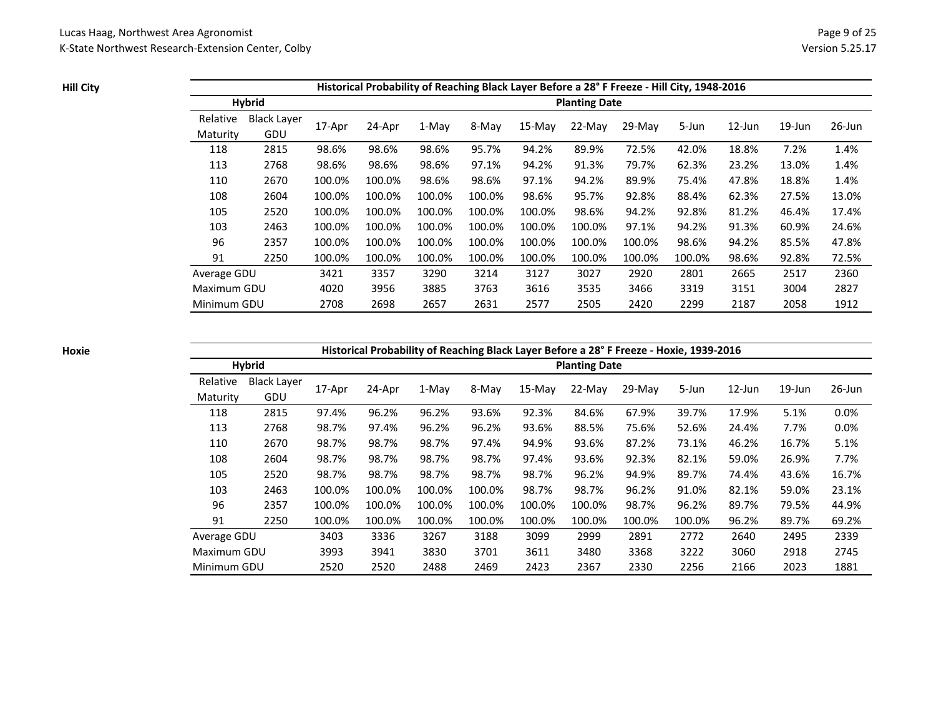**Hill City**

|             |               |        |        |        |        |          |                      | Historical Probability of Reaching Black Layer Before a 28° F Freeze - Hill City, 1948-2016 |        |           |           |           |
|-------------|---------------|--------|--------|--------|--------|----------|----------------------|---------------------------------------------------------------------------------------------|--------|-----------|-----------|-----------|
|             | <b>Hybrid</b> |        |        |        |        |          | <b>Planting Date</b> |                                                                                             |        |           |           |           |
| Relative    | Black Layer   |        |        |        |        | $15-Mav$ | $22-Mav$             |                                                                                             |        | $12$ -Jun | $19$ -Jun | $26$ -Jun |
| Maturity    | GDU           | 17-Apr | 24-Apr | 1-May  | 8-May  |          |                      | $29-Mav$                                                                                    | 5-Jun  |           |           |           |
| 118         | 2815          | 98.6%  | 98.6%  | 98.6%  | 95.7%  | 94.2%    | 89.9%                | 72.5%                                                                                       | 42.0%  | 18.8%     | 7.2%      | 1.4%      |
| 113         | 2768          | 98.6%  | 98.6%  | 98.6%  | 97.1%  | 94.2%    | 91.3%                | 79.7%                                                                                       | 62.3%  | 23.2%     | 13.0%     | 1.4%      |
| 110         | 2670          | 100.0% | 100.0% | 98.6%  | 98.6%  | 97.1%    | 94.2%                | 89.9%                                                                                       | 75.4%  | 47.8%     | 18.8%     | 1.4%      |
| 108         | 2604          | 100.0% | 100.0% | 100.0% | 100.0% | 98.6%    | 95.7%                | 92.8%                                                                                       | 88.4%  | 62.3%     | 27.5%     | 13.0%     |
| 105         | 2520          | 100.0% | 100.0% | 100.0% | 100.0% | 100.0%   | 98.6%                | 94.2%                                                                                       | 92.8%  | 81.2%     | 46.4%     | 17.4%     |
| 103         | 2463          | 100.0% | 100.0% | 100.0% | 100.0% | 100.0%   | 100.0%               | 97.1%                                                                                       | 94.2%  | 91.3%     | 60.9%     | 24.6%     |
| 96          | 2357          | 100.0% | 100.0% | 100.0% | 100.0% | 100.0%   | 100.0%               | 100.0%                                                                                      | 98.6%  | 94.2%     | 85.5%     | 47.8%     |
| 91          | 2250          | 100.0% | 100.0% | 100.0% | 100.0% | 100.0%   | 100.0%               | 100.0%                                                                                      | 100.0% | 98.6%     | 92.8%     | 72.5%     |
| Average GDU |               | 3421   | 3357   | 3290   | 3214   | 3127     | 3027                 | 2920                                                                                        | 2801   | 2665      | 2517      | 2360      |
| Maximum GDU |               | 4020   | 3956   | 3885   | 3763   | 3616     | 3535                 | 3466                                                                                        | 3319   | 3151      | 3004      | 2827      |
| Minimum GDU |               | 2708   | 2698   | 2657   | 2631   | 2577     | 2505                 | 2420                                                                                        | 2299   | 2187      | 2058      | 1912      |

**Hoxie**

# **Historical Probability of Reaching Black Layer Before a 28° F Freeze - Hoxie, 1939-2016**

|                      | <b>Hybrid</b>             |        |        |        |        |          | <b>Planting Date</b> |          |        |           |           |           |
|----------------------|---------------------------|--------|--------|--------|--------|----------|----------------------|----------|--------|-----------|-----------|-----------|
| Relative<br>Maturity | <b>Black Layer</b><br>GDU | 17-Apr | 24-Apr | 1-May  | 8-May  | $15-Mav$ | $22-Mav$             | $29-Mav$ | 5-Jun  | $12$ -Jun | $19$ -Jun | $26$ -Jun |
| 118                  | 2815                      | 97.4%  | 96.2%  | 96.2%  | 93.6%  | 92.3%    | 84.6%                | 67.9%    | 39.7%  | 17.9%     | 5.1%      | 0.0%      |
| 113                  | 2768                      | 98.7%  | 97.4%  | 96.2%  | 96.2%  | 93.6%    | 88.5%                | 75.6%    | 52.6%  | 24.4%     | 7.7%      | 0.0%      |
| 110                  | 2670                      | 98.7%  | 98.7%  | 98.7%  | 97.4%  | 94.9%    | 93.6%                | 87.2%    | 73.1%  | 46.2%     | 16.7%     | 5.1%      |
| 108                  | 2604                      | 98.7%  | 98.7%  | 98.7%  | 98.7%  | 97.4%    | 93.6%                | 92.3%    | 82.1%  | 59.0%     | 26.9%     | 7.7%      |
| 105                  | 2520                      | 98.7%  | 98.7%  | 98.7%  | 98.7%  | 98.7%    | 96.2%                | 94.9%    | 89.7%  | 74.4%     | 43.6%     | 16.7%     |
| 103                  | 2463                      | 100.0% | 100.0% | 100.0% | 100.0% | 98.7%    | 98.7%                | 96.2%    | 91.0%  | 82.1%     | 59.0%     | 23.1%     |
| 96                   | 2357                      | 100.0% | 100.0% | 100.0% | 100.0% | 100.0%   | 100.0%               | 98.7%    | 96.2%  | 89.7%     | 79.5%     | 44.9%     |
| 91                   | 2250                      | 100.0% | 100.0% | 100.0% | 100.0% | 100.0%   | 100.0%               | 100.0%   | 100.0% | 96.2%     | 89.7%     | 69.2%     |
| Average GDU          |                           | 3403   | 3336   | 3267   | 3188   | 3099     | 2999                 | 2891     | 2772   | 2640      | 2495      | 2339      |
| Maximum GDU          |                           | 3993   | 3941   | 3830   | 3701   | 3611     | 3480                 | 3368     | 3222   | 3060      | 2918      | 2745      |
| Minimum GDU          |                           | 2520   | 2520   | 2488   | 2469   | 2423     | 2367                 | 2330     | 2256   | 2166      | 2023      | 1881      |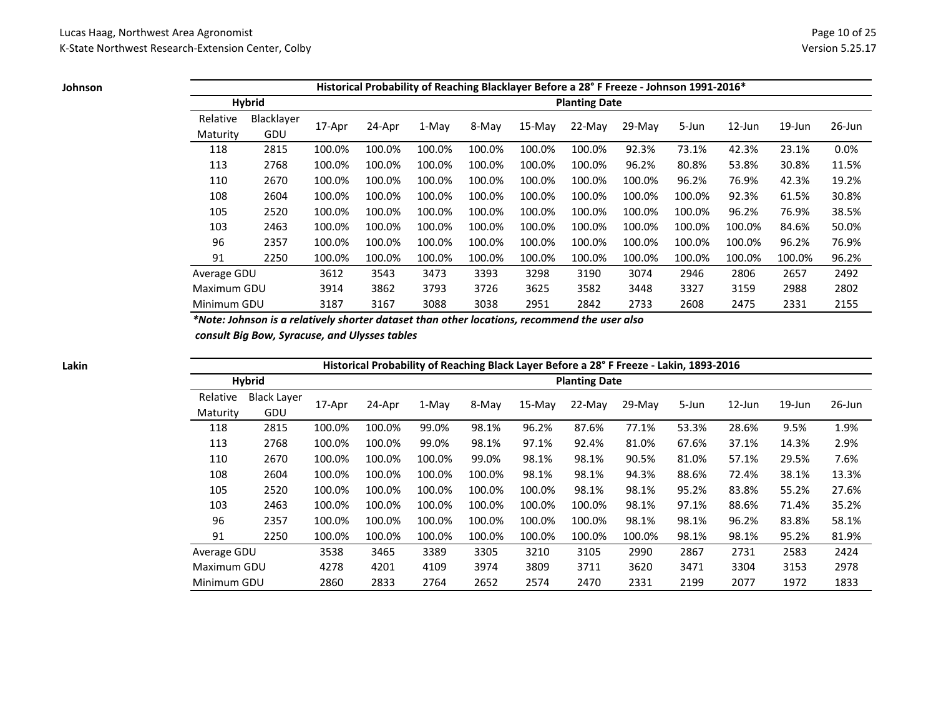**Johnson**

|             |               |        |        |         |        | Historical Probability of Reaching Blacklayer Before a 28° F Freeze - Johnson 1991-2016* |                      |          |        |           |           |           |
|-------------|---------------|--------|--------|---------|--------|------------------------------------------------------------------------------------------|----------------------|----------|--------|-----------|-----------|-----------|
|             | <b>Hybrid</b> |        |        |         |        |                                                                                          | <b>Planting Date</b> |          |        |           |           |           |
| Relative    | Blacklayer    |        |        |         |        |                                                                                          |                      |          |        |           |           |           |
| Maturity    | GDU           | 17-Apr | 24-Apr | $1-Mav$ | 8-May  | $15-Mav$                                                                                 | $22-Mav$             | $29-Mav$ | 5-Jun  | $12$ -Jun | $19$ -Jun | $26$ -Jun |
| 118         | 2815          | 100.0% | 100.0% | 100.0%  | 100.0% | 100.0%                                                                                   | 100.0%               | 92.3%    | 73.1%  | 42.3%     | 23.1%     | 0.0%      |
| 113         | 2768          | 100.0% | 100.0% | 100.0%  | 100.0% | 100.0%                                                                                   | 100.0%               | 96.2%    | 80.8%  | 53.8%     | 30.8%     | 11.5%     |
| 110         | 2670          | 100.0% | 100.0% | 100.0%  | 100.0% | 100.0%                                                                                   | 100.0%               | 100.0%   | 96.2%  | 76.9%     | 42.3%     | 19.2%     |
| 108         | 2604          | 100.0% | 100.0% | 100.0%  | 100.0% | 100.0%                                                                                   | 100.0%               | 100.0%   | 100.0% | 92.3%     | 61.5%     | 30.8%     |
| 105         | 2520          | 100.0% | 100.0% | 100.0%  | 100.0% | 100.0%                                                                                   | 100.0%               | 100.0%   | 100.0% | 96.2%     | 76.9%     | 38.5%     |
| 103         | 2463          | 100.0% | 100.0% | 100.0%  | 100.0% | 100.0%                                                                                   | 100.0%               | 100.0%   | 100.0% | 100.0%    | 84.6%     | 50.0%     |
| 96          | 2357          | 100.0% | 100.0% | 100.0%  | 100.0% | 100.0%                                                                                   | 100.0%               | 100.0%   | 100.0% | 100.0%    | 96.2%     | 76.9%     |
| 91          | 2250          | 100.0% | 100.0% | 100.0%  | 100.0% | 100.0%                                                                                   | 100.0%               | 100.0%   | 100.0% | 100.0%    | 100.0%    | 96.2%     |
| Average GDU |               | 3612   | 3543   | 3473    | 3393   | 3298                                                                                     | 3190                 | 3074     | 2946   | 2806      | 2657      | 2492      |
| Maximum GDU |               | 3914   | 3862   | 3793    | 3726   | 3625                                                                                     | 3582                 | 3448     | 3327   | 3159      | 2988      | 2802      |
| Minimum GDU |               | 3187   | 3167   | 3088    | 3038   | 2951                                                                                     | 2842                 | 2733     | 2608   | 2475      | 2331      | 2155      |

*\*Note: Johnson is a relatively shorter dataset than other locations, recommend the user also*

 *consult Big Bow, Syracuse, and Ulysses tables*

|             |                    |        |        |        |        |          |                      | Historical Probability of Reaching Black Layer Before a 28° F Freeze - Lakin, 1893-2016 |       |           |           |           |
|-------------|--------------------|--------|--------|--------|--------|----------|----------------------|-----------------------------------------------------------------------------------------|-------|-----------|-----------|-----------|
|             | <b>Hybrid</b>      |        |        |        |        |          | <b>Planting Date</b> |                                                                                         |       |           |           |           |
| Relative    | <b>Black Layer</b> |        |        |        | 8-May  | $15-Mav$ | $22-Mav$             | $29-Mav$                                                                                | 5-Jun | $12$ -Jun | $19$ -Jun | $26$ -Jun |
| Maturity    | GDU                | 17-Apr | 24-Apr | 1-May  |        |          |                      |                                                                                         |       |           |           |           |
| 118         | 2815               | 100.0% | 100.0% | 99.0%  | 98.1%  | 96.2%    | 87.6%                | 77.1%                                                                                   | 53.3% | 28.6%     | 9.5%      | 1.9%      |
| 113         | 2768               | 100.0% | 100.0% | 99.0%  | 98.1%  | 97.1%    | 92.4%                | 81.0%                                                                                   | 67.6% | 37.1%     | 14.3%     | 2.9%      |
| 110         | 2670               | 100.0% | 100.0% | 100.0% | 99.0%  | 98.1%    | 98.1%                | 90.5%                                                                                   | 81.0% | 57.1%     | 29.5%     | 7.6%      |
| 108         | 2604               | 100.0% | 100.0% | 100.0% | 100.0% | 98.1%    | 98.1%                | 94.3%                                                                                   | 88.6% | 72.4%     | 38.1%     | 13.3%     |
| 105         | 2520               | 100.0% | 100.0% | 100.0% | 100.0% | 100.0%   | 98.1%                | 98.1%                                                                                   | 95.2% | 83.8%     | 55.2%     | 27.6%     |
| 103         | 2463               | 100.0% | 100.0% | 100.0% | 100.0% | 100.0%   | 100.0%               | 98.1%                                                                                   | 97.1% | 88.6%     | 71.4%     | 35.2%     |
| 96          | 2357               | 100.0% | 100.0% | 100.0% | 100.0% | 100.0%   | 100.0%               | 98.1%                                                                                   | 98.1% | 96.2%     | 83.8%     | 58.1%     |
| 91          | 2250               | 100.0% | 100.0% | 100.0% | 100.0% | 100.0%   | 100.0%               | 100.0%                                                                                  | 98.1% | 98.1%     | 95.2%     | 81.9%     |
| Average GDU |                    | 3538   | 3465   | 3389   | 3305   | 3210     | 3105                 | 2990                                                                                    | 2867  | 2731      | 2583      | 2424      |
| Maximum GDU |                    | 4278   | 4201   | 4109   | 3974   | 3809     | 3711                 | 3620                                                                                    | 3471  | 3304      | 3153      | 2978      |
| Minimum GDU |                    | 2860   | 2833   | 2764   | 2652   | 2574     | 2470                 | 2331                                                                                    | 2199  | 2077      | 1972      | 1833      |

**Lakin**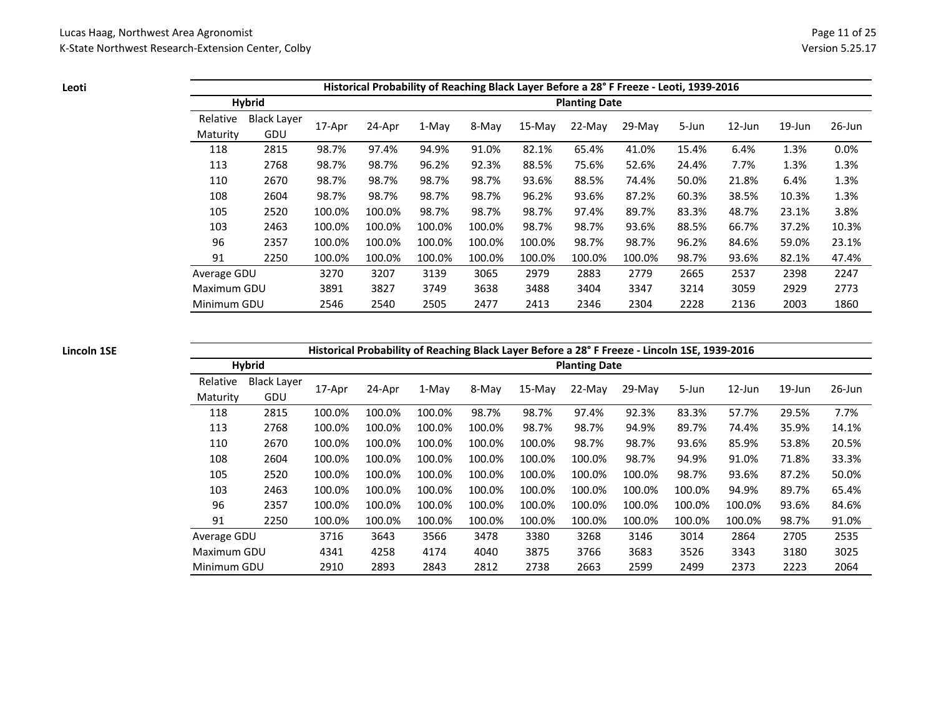**Leoti**

|             |                    |        |        |        |        |          |                      | Historical Probability of Reaching Black Layer Before a 28° F Freeze - Leoti, 1939-2016 |       |           |           |           |
|-------------|--------------------|--------|--------|--------|--------|----------|----------------------|-----------------------------------------------------------------------------------------|-------|-----------|-----------|-----------|
|             | <b>Hybrid</b>      |        |        |        |        |          | <b>Planting Date</b> |                                                                                         |       |           |           |           |
| Relative    | <b>Black Layer</b> |        |        |        |        |          |                      | $29-Mav$                                                                                |       | $12$ -Jun | $19$ -Jun | $26$ -Jun |
| Maturity    | GDU                | 17-Apr | 24-Apr | 1-May  | 8-May  | $15-Mav$ | $22-Mav$             |                                                                                         | 5-Jun |           |           |           |
| 118         | 2815               | 98.7%  | 97.4%  | 94.9%  | 91.0%  | 82.1%    | 65.4%                | 41.0%                                                                                   | 15.4% | 6.4%      | 1.3%      | 0.0%      |
| 113         | 2768               | 98.7%  | 98.7%  | 96.2%  | 92.3%  | 88.5%    | 75.6%                | 52.6%                                                                                   | 24.4% | 7.7%      | 1.3%      | 1.3%      |
| 110         | 2670               | 98.7%  | 98.7%  | 98.7%  | 98.7%  | 93.6%    | 88.5%                | 74.4%                                                                                   | 50.0% | 21.8%     | 6.4%      | 1.3%      |
| 108         | 2604               | 98.7%  | 98.7%  | 98.7%  | 98.7%  | 96.2%    | 93.6%                | 87.2%                                                                                   | 60.3% | 38.5%     | 10.3%     | 1.3%      |
| 105         | 2520               | 100.0% | 100.0% | 98.7%  | 98.7%  | 98.7%    | 97.4%                | 89.7%                                                                                   | 83.3% | 48.7%     | 23.1%     | 3.8%      |
| 103         | 2463               | 100.0% | 100.0% | 100.0% | 100.0% | 98.7%    | 98.7%                | 93.6%                                                                                   | 88.5% | 66.7%     | 37.2%     | 10.3%     |
| 96          | 2357               | 100.0% | 100.0% | 100.0% | 100.0% | 100.0%   | 98.7%                | 98.7%                                                                                   | 96.2% | 84.6%     | 59.0%     | 23.1%     |
| 91          | 2250               | 100.0% | 100.0% | 100.0% | 100.0% | 100.0%   | 100.0%               | 100.0%                                                                                  | 98.7% | 93.6%     | 82.1%     | 47.4%     |
| Average GDU |                    | 3270   | 3207   | 3139   | 3065   | 2979     | 2883                 | 2779                                                                                    | 2665  | 2537      | 2398      | 2247      |
| Maximum GDU |                    | 3891   | 3827   | 3749   | 3638   | 3488     | 3404                 | 3347                                                                                    | 3214  | 3059      | 2929      | 2773      |
| Minimum GDU |                    | 2546   | 2540   | 2505   | 2477   | 2413     | 2346                 | 2304                                                                                    | 2228  | 2136      | 2003      | 1860      |

### **Lincoln 1SE**

### **Historical Probability of Reaching Black Layer Before a 28° F Freeze - Lincoln 1SE, 1939-2016**

|             | <b>Hybrid</b>      |        |        | - - - - - - - - - - - 0 |        |          | <b>Planting Date</b> |        |        |           |           |           |
|-------------|--------------------|--------|--------|-------------------------|--------|----------|----------------------|--------|--------|-----------|-----------|-----------|
| Relative    | <b>Black Layer</b> | 17-Apr | 24-Apr | 1-May                   | 8-May  | $15-Mav$ | 22-May               | 29-May | 5-Jun  | $12$ -Jun | $19$ -Jun | $26$ -Jun |
| Maturity    | GDU                |        |        |                         |        |          |                      |        |        |           |           |           |
| 118         | 2815               | 100.0% | 100.0% | 100.0%                  | 98.7%  | 98.7%    | 97.4%                | 92.3%  | 83.3%  | 57.7%     | 29.5%     | 7.7%      |
| 113         | 2768               | 100.0% | 100.0% | 100.0%                  | 100.0% | 98.7%    | 98.7%                | 94.9%  | 89.7%  | 74.4%     | 35.9%     | 14.1%     |
| 110         | 2670               | 100.0% | 100.0% | 100.0%                  | 100.0% | 100.0%   | 98.7%                | 98.7%  | 93.6%  | 85.9%     | 53.8%     | 20.5%     |
| 108         | 2604               | 100.0% | 100.0% | 100.0%                  | 100.0% | 100.0%   | 100.0%               | 98.7%  | 94.9%  | 91.0%     | 71.8%     | 33.3%     |
| 105         | 2520               | 100.0% | 100.0% | 100.0%                  | 100.0% | 100.0%   | 100.0%               | 100.0% | 98.7%  | 93.6%     | 87.2%     | 50.0%     |
| 103         | 2463               | 100.0% | 100.0% | 100.0%                  | 100.0% | 100.0%   | 100.0%               | 100.0% | 100.0% | 94.9%     | 89.7%     | 65.4%     |
| 96          | 2357               | 100.0% | 100.0% | 100.0%                  | 100.0% | 100.0%   | 100.0%               | 100.0% | 100.0% | 100.0%    | 93.6%     | 84.6%     |
| 91          | 2250               | 100.0% | 100.0% | 100.0%                  | 100.0% | 100.0%   | 100.0%               | 100.0% | 100.0% | 100.0%    | 98.7%     | 91.0%     |
| Average GDU |                    | 3716   | 3643   | 3566                    | 3478   | 3380     | 3268                 | 3146   | 3014   | 2864      | 2705      | 2535      |
| Maximum GDU |                    | 4341   | 4258   | 4174                    | 4040   | 3875     | 3766                 | 3683   | 3526   | 3343      | 3180      | 3025      |
| Minimum GDU |                    | 2910   | 2893   | 2843                    | 2812   | 2738     | 2663                 | 2599   | 2499   | 2373      | 2223      | 2064      |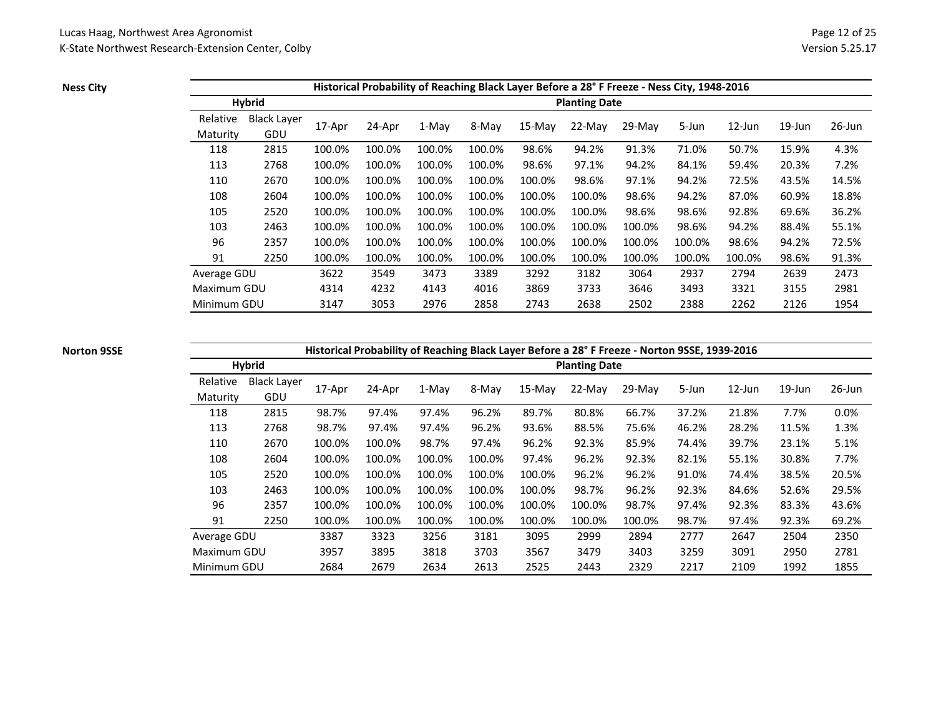**Ness City**

|             |                    |        |        |         |        |        |                      | Historical Probability of Reaching Black Layer Before a 28° F Freeze - Ness City, 1948-2016 |        |           |           |        |
|-------------|--------------------|--------|--------|---------|--------|--------|----------------------|---------------------------------------------------------------------------------------------|--------|-----------|-----------|--------|
|             | <b>Hybrid</b>      |        |        |         |        |        | <b>Planting Date</b> |                                                                                             |        |           |           |        |
| Relative    | <b>Black Layer</b> |        |        |         | 8-May  | 15-May | 22-May               | $29-Mav$                                                                                    |        | $12$ -Jun | $19$ -Jun | 26-Jun |
| Maturity    | GDU                | 17-Apr | 24-Apr | $1-Mav$ |        |        |                      |                                                                                             | 5-Jun  |           |           |        |
| 118         | 2815               | 100.0% | 100.0% | 100.0%  | 100.0% | 98.6%  | 94.2%                | 91.3%                                                                                       | 71.0%  | 50.7%     | 15.9%     | 4.3%   |
| 113         | 2768               | 100.0% | 100.0% | 100.0%  | 100.0% | 98.6%  | 97.1%                | 94.2%                                                                                       | 84.1%  | 59.4%     | 20.3%     | 7.2%   |
| 110         | 2670               | 100.0% | 100.0% | 100.0%  | 100.0% | 100.0% | 98.6%                | 97.1%                                                                                       | 94.2%  | 72.5%     | 43.5%     | 14.5%  |
| 108         | 2604               | 100.0% | 100.0% | 100.0%  | 100.0% | 100.0% | 100.0%               | 98.6%                                                                                       | 94.2%  | 87.0%     | 60.9%     | 18.8%  |
| 105         | 2520               | 100.0% | 100.0% | 100.0%  | 100.0% | 100.0% | 100.0%               | 98.6%                                                                                       | 98.6%  | 92.8%     | 69.6%     | 36.2%  |
| 103         | 2463               | 100.0% | 100.0% | 100.0%  | 100.0% | 100.0% | 100.0%               | 100.0%                                                                                      | 98.6%  | 94.2%     | 88.4%     | 55.1%  |
| 96          | 2357               | 100.0% | 100.0% | 100.0%  | 100.0% | 100.0% | 100.0%               | 100.0%                                                                                      | 100.0% | 98.6%     | 94.2%     | 72.5%  |
| 91          | 2250               | 100.0% | 100.0% | 100.0%  | 100.0% | 100.0% | 100.0%               | 100.0%                                                                                      | 100.0% | 100.0%    | 98.6%     | 91.3%  |
| Average GDU |                    | 3622   | 3549   | 3473    | 3389   | 3292   | 3182                 | 3064                                                                                        | 2937   | 2794      | 2639      | 2473   |
| Maximum GDU |                    | 4314   | 4232   | 4143    | 4016   | 3869   | 3733                 | 3646                                                                                        | 3493   | 3321      | 3155      | 2981   |
| Minimum GDU |                    | 3147   | 3053   | 2976    | 2858   | 2743   | 2638                 | 2502                                                                                        | 2388   | 2262      | 2126      | 1954   |

#### **Norton 9SSE**

### **Historical Probability of Reaching Black Layer Before a 28° F Freeze - Norton 9SSE, 1939-2016**

|             | <b>Hybrid</b>      |        |        |        |        |          | <b>Planting Date</b> |          |       |           |           |           |
|-------------|--------------------|--------|--------|--------|--------|----------|----------------------|----------|-------|-----------|-----------|-----------|
| Relative    | <b>Black Layer</b> | 17-Apr | 24-Apr | 1-May  | 8-May  | $15-Mav$ | $22-Mav$             | $29-Mav$ | 5-Jun | $12$ -Jun | $19$ -Jun | $26$ -Jun |
| Maturity    | GDU                |        |        |        |        |          |                      |          |       |           |           |           |
| 118         | 2815               | 98.7%  | 97.4%  | 97.4%  | 96.2%  | 89.7%    | 80.8%                | 66.7%    | 37.2% | 21.8%     | 7.7%      | 0.0%      |
| 113         | 2768               | 98.7%  | 97.4%  | 97.4%  | 96.2%  | 93.6%    | 88.5%                | 75.6%    | 46.2% | 28.2%     | 11.5%     | 1.3%      |
| 110         | 2670               | 100.0% | 100.0% | 98.7%  | 97.4%  | 96.2%    | 92.3%                | 85.9%    | 74.4% | 39.7%     | 23.1%     | 5.1%      |
| 108         | 2604               | 100.0% | 100.0% | 100.0% | 100.0% | 97.4%    | 96.2%                | 92.3%    | 82.1% | 55.1%     | 30.8%     | 7.7%      |
| 105         | 2520               | 100.0% | 100.0% | 100.0% | 100.0% | 100.0%   | 96.2%                | 96.2%    | 91.0% | 74.4%     | 38.5%     | 20.5%     |
| 103         | 2463               | 100.0% | 100.0% | 100.0% | 100.0% | 100.0%   | 98.7%                | 96.2%    | 92.3% | 84.6%     | 52.6%     | 29.5%     |
| 96          | 2357               | 100.0% | 100.0% | 100.0% | 100.0% | 100.0%   | 100.0%               | 98.7%    | 97.4% | 92.3%     | 83.3%     | 43.6%     |
| 91          | 2250               | 100.0% | 100.0% | 100.0% | 100.0% | 100.0%   | 100.0%               | 100.0%   | 98.7% | 97.4%     | 92.3%     | 69.2%     |
| Average GDU |                    | 3387   | 3323   | 3256   | 3181   | 3095     | 2999                 | 2894     | 2777  | 2647      | 2504      | 2350      |
| Maximum GDU |                    | 3957   | 3895   | 3818   | 3703   | 3567     | 3479                 | 3403     | 3259  | 3091      | 2950      | 2781      |
| Minimum GDU |                    | 2684   | 2679   | 2634   | 2613   | 2525     | 2443                 | 2329     | 2217  | 2109      | 1992      | 1855      |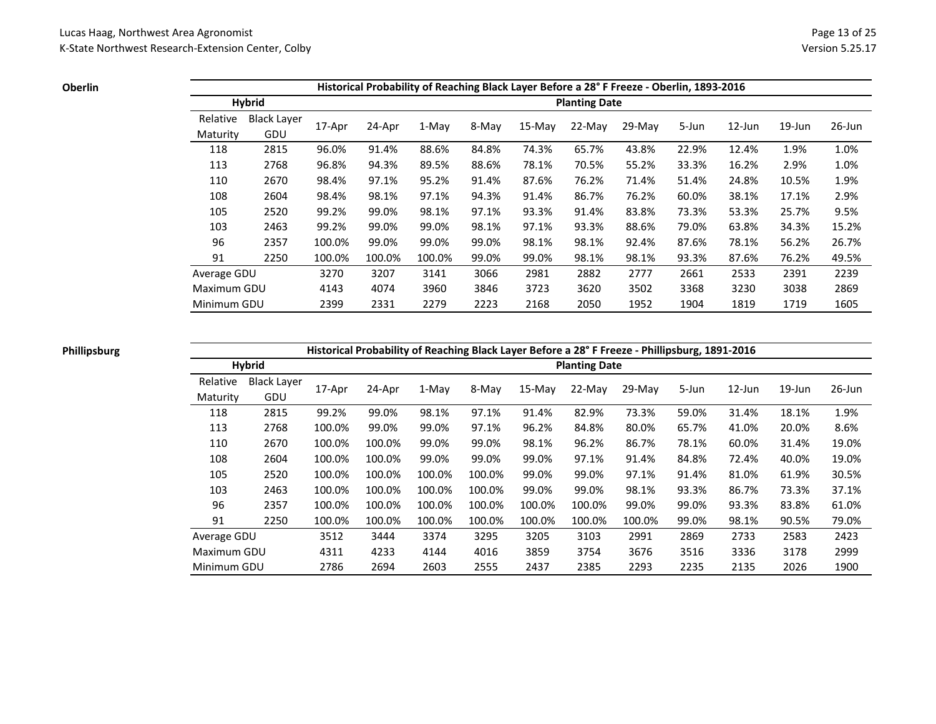**Oberlin**

|             |                    |        |        |         |       |          |                      | Historical Probability of Reaching Black Layer Before a 28° F Freeze - Oberlin, 1893-2016 |       |           |           |           |
|-------------|--------------------|--------|--------|---------|-------|----------|----------------------|-------------------------------------------------------------------------------------------|-------|-----------|-----------|-----------|
|             | <b>Hybrid</b>      |        |        |         |       |          | <b>Planting Date</b> |                                                                                           |       |           |           |           |
| Relative    | <b>Black Layer</b> |        |        |         |       |          |                      |                                                                                           |       |           |           |           |
| Maturity    | GDU                | 17-Apr | 24-Apr | $1-Mav$ | 8-May | $15-Mav$ | $22-Mav$             | $29-Mav$                                                                                  | 5-Jun | $12$ -Jun | $19$ -Jun | $26$ -Jun |
| 118         | 2815               | 96.0%  | 91.4%  | 88.6%   | 84.8% | 74.3%    | 65.7%                | 43.8%                                                                                     | 22.9% | 12.4%     | 1.9%      | 1.0%      |
| 113         | 2768               | 96.8%  | 94.3%  | 89.5%   | 88.6% | 78.1%    | 70.5%                | 55.2%                                                                                     | 33.3% | 16.2%     | 2.9%      | 1.0%      |
| 110         | 2670               | 98.4%  | 97.1%  | 95.2%   | 91.4% | 87.6%    | 76.2%                | 71.4%                                                                                     | 51.4% | 24.8%     | 10.5%     | 1.9%      |
| 108         | 2604               | 98.4%  | 98.1%  | 97.1%   | 94.3% | 91.4%    | 86.7%                | 76.2%                                                                                     | 60.0% | 38.1%     | 17.1%     | 2.9%      |
| 105         | 2520               | 99.2%  | 99.0%  | 98.1%   | 97.1% | 93.3%    | 91.4%                | 83.8%                                                                                     | 73.3% | 53.3%     | 25.7%     | 9.5%      |
| 103         | 2463               | 99.2%  | 99.0%  | 99.0%   | 98.1% | 97.1%    | 93.3%                | 88.6%                                                                                     | 79.0% | 63.8%     | 34.3%     | 15.2%     |
| 96          | 2357               | 100.0% | 99.0%  | 99.0%   | 99.0% | 98.1%    | 98.1%                | 92.4%                                                                                     | 87.6% | 78.1%     | 56.2%     | 26.7%     |
| 91          | 2250               | 100.0% | 100.0% | 100.0%  | 99.0% | 99.0%    | 98.1%                | 98.1%                                                                                     | 93.3% | 87.6%     | 76.2%     | 49.5%     |
| Average GDU |                    | 3270   | 3207   | 3141    | 3066  | 2981     | 2882                 | 2777                                                                                      | 2661  | 2533      | 2391      | 2239      |
| Maximum GDU |                    | 4143   | 4074   | 3960    | 3846  | 3723     | 3620                 | 3502                                                                                      | 3368  | 3230      | 3038      | 2869      |
| Minimum GDU |                    | 2399   | 2331   | 2279    | 2223  | 2168     | 2050                 | 1952                                                                                      | 1904  | 1819      | 1719      | 1605      |

### **Phillipsburg**

**Historical Probability of Reaching Black Layer Before a 28° F Freeze - Phillipsburg, 1891-2016**

|             | <b>Hybrid</b>      |        |        |        |        |        | <b>Planting Date</b> |          |       |           |           |           |
|-------------|--------------------|--------|--------|--------|--------|--------|----------------------|----------|-------|-----------|-----------|-----------|
| Relative    | <b>Black Laver</b> | 17-Apr | 24-Apr | 1-May  | 8-May  | 15-May | 22-May               | $29-Mav$ | 5-Jun | $12$ -Jun | $19$ -Jun | $26$ -Jun |
| Maturity    | GDU                |        |        |        |        |        |                      |          |       |           |           |           |
| 118         | 2815               | 99.2%  | 99.0%  | 98.1%  | 97.1%  | 91.4%  | 82.9%                | 73.3%    | 59.0% | 31.4%     | 18.1%     | 1.9%      |
| 113         | 2768               | 100.0% | 99.0%  | 99.0%  | 97.1%  | 96.2%  | 84.8%                | 80.0%    | 65.7% | 41.0%     | 20.0%     | 8.6%      |
| 110         | 2670               | 100.0% | 100.0% | 99.0%  | 99.0%  | 98.1%  | 96.2%                | 86.7%    | 78.1% | 60.0%     | 31.4%     | 19.0%     |
| 108         | 2604               | 100.0% | 100.0% | 99.0%  | 99.0%  | 99.0%  | 97.1%                | 91.4%    | 84.8% | 72.4%     | 40.0%     | 19.0%     |
| 105         | 2520               | 100.0% | 100.0% | 100.0% | 100.0% | 99.0%  | 99.0%                | 97.1%    | 91.4% | 81.0%     | 61.9%     | 30.5%     |
| 103         | 2463               | 100.0% | 100.0% | 100.0% | 100.0% | 99.0%  | 99.0%                | 98.1%    | 93.3% | 86.7%     | 73.3%     | 37.1%     |
| 96          | 2357               | 100.0% | 100.0% | 100.0% | 100.0% | 100.0% | 100.0%               | 99.0%    | 99.0% | 93.3%     | 83.8%     | 61.0%     |
| 91          | 2250               | 100.0% | 100.0% | 100.0% | 100.0% | 100.0% | 100.0%               | 100.0%   | 99.0% | 98.1%     | 90.5%     | 79.0%     |
| Average GDU |                    | 3512   | 3444   | 3374   | 3295   | 3205   | 3103                 | 2991     | 2869  | 2733      | 2583      | 2423      |
| Maximum GDU |                    | 4311   | 4233   | 4144   | 4016   | 3859   | 3754                 | 3676     | 3516  | 3336      | 3178      | 2999      |
| Minimum GDU |                    | 2786   | 2694   | 2603   | 2555   | 2437   | 2385                 | 2293     | 2235  | 2135      | 2026      | 1900      |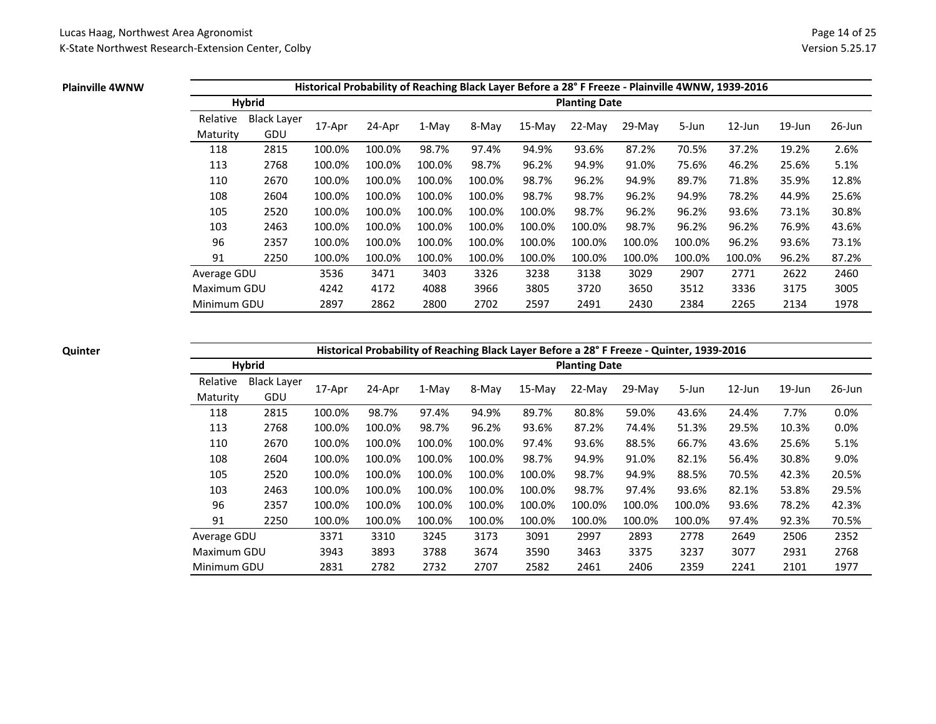#### **Plainville 4WNW**

|             |                    |        |        |        |        |        |                      | Historical Probability of Reaching Black Layer Before a 28° F Freeze - Plainville 4WNW, 1939-2016 |        |           |           |           |
|-------------|--------------------|--------|--------|--------|--------|--------|----------------------|---------------------------------------------------------------------------------------------------|--------|-----------|-----------|-----------|
|             | Hybrid             |        |        |        |        |        | <b>Planting Date</b> |                                                                                                   |        |           |           |           |
| Relative    | <b>Black Layer</b> |        |        |        |        |        |                      |                                                                                                   |        | $12$ -Jun |           |           |
| Maturity    | GDU                | 17-Apr | 24-Apr | 1-May  | 8-May  | 15-May | $22-Mav$             | $29-Mav$                                                                                          | 5-Jun  |           | $19$ -Jun | $26$ -Jun |
| 118         | 2815               | 100.0% | 100.0% | 98.7%  | 97.4%  | 94.9%  | 93.6%                | 87.2%                                                                                             | 70.5%  | 37.2%     | 19.2%     | 2.6%      |
| 113         | 2768               | 100.0% | 100.0% | 100.0% | 98.7%  | 96.2%  | 94.9%                | 91.0%                                                                                             | 75.6%  | 46.2%     | 25.6%     | 5.1%      |
| 110         | 2670               | 100.0% | 100.0% | 100.0% | 100.0% | 98.7%  | 96.2%                | 94.9%                                                                                             | 89.7%  | 71.8%     | 35.9%     | 12.8%     |
| 108         | 2604               | 100.0% | 100.0% | 100.0% | 100.0% | 98.7%  | 98.7%                | 96.2%                                                                                             | 94.9%  | 78.2%     | 44.9%     | 25.6%     |
| 105         | 2520               | 100.0% | 100.0% | 100.0% | 100.0% | 100.0% | 98.7%                | 96.2%                                                                                             | 96.2%  | 93.6%     | 73.1%     | 30.8%     |
| 103         | 2463               | 100.0% | 100.0% | 100.0% | 100.0% | 100.0% | 100.0%               | 98.7%                                                                                             | 96.2%  | 96.2%     | 76.9%     | 43.6%     |
| 96          | 2357               | 100.0% | 100.0% | 100.0% | 100.0% | 100.0% | 100.0%               | 100.0%                                                                                            | 100.0% | 96.2%     | 93.6%     | 73.1%     |
| 91          | 2250               | 100.0% | 100.0% | 100.0% | 100.0% | 100.0% | 100.0%               | 100.0%                                                                                            | 100.0% | 100.0%    | 96.2%     | 87.2%     |
| Average GDU |                    | 3536   | 3471   | 3403   | 3326   | 3238   | 3138                 | 3029                                                                                              | 2907   | 2771      | 2622      | 2460      |
| Maximum GDU |                    | 4242   | 4172   | 4088   | 3966   | 3805   | 3720                 | 3650                                                                                              | 3512   | 3336      | 3175      | 3005      |
| Minimum GDU |                    | 2897   | 2862   | 2800   | 2702   | 2597   | 2491                 | 2430                                                                                              | 2384   | 2265      | 2134      | 1978      |

### **Quinter**

# **Historical Probability of Reaching Black Layer Before a 28° F Freeze - Quinter, 1939-2016**

|                      | <b>Hybrid</b>             |        |        |        |        |        | <b>Planting Date</b> |        |        |           |           |           |
|----------------------|---------------------------|--------|--------|--------|--------|--------|----------------------|--------|--------|-----------|-----------|-----------|
| Relative<br>Maturity | <b>Black Layer</b><br>GDU | 17-Apr | 24-Apr | 1-May  | 8-May  | 15-May | 22-May               | 29-May | 5-Jun  | $12$ -Jun | $19$ -Jun | $26$ -Jun |
| 118                  | 2815                      | 100.0% | 98.7%  | 97.4%  | 94.9%  | 89.7%  | 80.8%                | 59.0%  | 43.6%  | 24.4%     | 7.7%      | 0.0%      |
| 113                  | 2768                      | 100.0% | 100.0% | 98.7%  | 96.2%  | 93.6%  | 87.2%                | 74.4%  | 51.3%  | 29.5%     | 10.3%     | 0.0%      |
| 110                  | 2670                      | 100.0% | 100.0% | 100.0% | 100.0% | 97.4%  | 93.6%                | 88.5%  | 66.7%  | 43.6%     | 25.6%     | 5.1%      |
| 108                  | 2604                      | 100.0% | 100.0% | 100.0% | 100.0% | 98.7%  | 94.9%                | 91.0%  | 82.1%  | 56.4%     | 30.8%     | 9.0%      |
| 105                  | 2520                      | 100.0% | 100.0% | 100.0% | 100.0% | 100.0% | 98.7%                | 94.9%  | 88.5%  | 70.5%     | 42.3%     | 20.5%     |
| 103                  | 2463                      | 100.0% | 100.0% | 100.0% | 100.0% | 100.0% | 98.7%                | 97.4%  | 93.6%  | 82.1%     | 53.8%     | 29.5%     |
| 96                   | 2357                      | 100.0% | 100.0% | 100.0% | 100.0% | 100.0% | 100.0%               | 100.0% | 100.0% | 93.6%     | 78.2%     | 42.3%     |
| 91                   | 2250                      | 100.0% | 100.0% | 100.0% | 100.0% | 100.0% | 100.0%               | 100.0% | 100.0% | 97.4%     | 92.3%     | 70.5%     |
| Average GDU          |                           | 3371   | 3310   | 3245   | 3173   | 3091   | 2997                 | 2893   | 2778   | 2649      | 2506      | 2352      |
| Maximum GDU          |                           | 3943   | 3893   | 3788   | 3674   | 3590   | 3463                 | 3375   | 3237   | 3077      | 2931      | 2768      |
| Minimum GDU          |                           | 2831   | 2782   | 2732   | 2707   | 2582   | 2461                 | 2406   | 2359   | 2241      | 2101      | 1977      |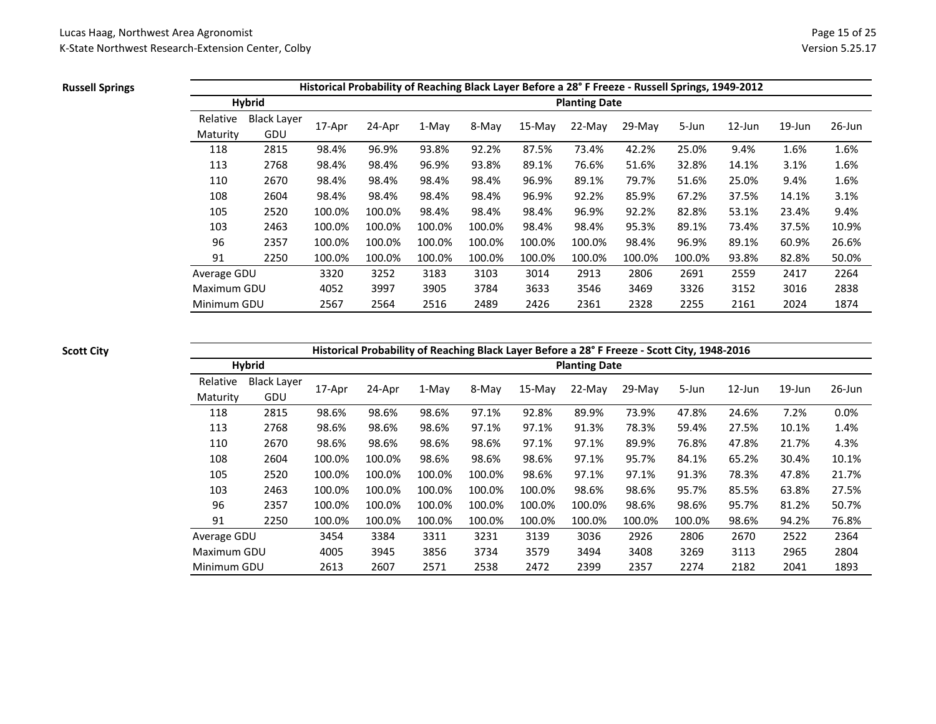### **Russell Springs**

|             |                    |        |        |         |        |          |                      | Historical Probability of Reaching Black Layer Before a 28° F Freeze - Russell Springs, 1949-2012 |        |           |           |           |
|-------------|--------------------|--------|--------|---------|--------|----------|----------------------|---------------------------------------------------------------------------------------------------|--------|-----------|-----------|-----------|
|             | <b>Hybrid</b>      |        |        |         |        |          | <b>Planting Date</b> |                                                                                                   |        |           |           |           |
| Relative    | <b>Black Layer</b> |        |        |         |        | $15-Mav$ | $22-Mav$             |                                                                                                   |        | $12$ -Jun | $19$ -Jun | $26$ -Jun |
| Maturity    | GDU                | 17-Apr | 24-Apr | $1-Mav$ | 8-May  |          |                      | $29-Mav$                                                                                          | 5-Jun  |           |           |           |
| 118         | 2815               | 98.4%  | 96.9%  | 93.8%   | 92.2%  | 87.5%    | 73.4%                | 42.2%                                                                                             | 25.0%  | 9.4%      | 1.6%      | 1.6%      |
| 113         | 2768               | 98.4%  | 98.4%  | 96.9%   | 93.8%  | 89.1%    | 76.6%                | 51.6%                                                                                             | 32.8%  | 14.1%     | 3.1%      | 1.6%      |
| 110         | 2670               | 98.4%  | 98.4%  | 98.4%   | 98.4%  | 96.9%    | 89.1%                | 79.7%                                                                                             | 51.6%  | 25.0%     | 9.4%      | 1.6%      |
| 108         | 2604               | 98.4%  | 98.4%  | 98.4%   | 98.4%  | 96.9%    | 92.2%                | 85.9%                                                                                             | 67.2%  | 37.5%     | 14.1%     | 3.1%      |
| 105         | 2520               | 100.0% | 100.0% | 98.4%   | 98.4%  | 98.4%    | 96.9%                | 92.2%                                                                                             | 82.8%  | 53.1%     | 23.4%     | 9.4%      |
| 103         | 2463               | 100.0% | 100.0% | 100.0%  | 100.0% | 98.4%    | 98.4%                | 95.3%                                                                                             | 89.1%  | 73.4%     | 37.5%     | 10.9%     |
| 96          | 2357               | 100.0% | 100.0% | 100.0%  | 100.0% | 100.0%   | 100.0%               | 98.4%                                                                                             | 96.9%  | 89.1%     | 60.9%     | 26.6%     |
| 91          | 2250               | 100.0% | 100.0% | 100.0%  | 100.0% | 100.0%   | 100.0%               | 100.0%                                                                                            | 100.0% | 93.8%     | 82.8%     | 50.0%     |
| Average GDU |                    | 3320   | 3252   | 3183    | 3103   | 3014     | 2913                 | 2806                                                                                              | 2691   | 2559      | 2417      | 2264      |
| Maximum GDU |                    | 4052   | 3997   | 3905    | 3784   | 3633     | 3546                 | 3469                                                                                              | 3326   | 3152      | 3016      | 2838      |
| Minimum GDU |                    | 2567   | 2564   | 2516    | 2489   | 2426     | 2361                 | 2328                                                                                              | 2255   | 2161      | 2024      | 1874      |

### **Scott City**

# **Historical Probability of Reaching Black Layer Before a 28° F Freeze - Scott City, 1948-2016**

|             | <b>Hybrid</b>      |        |        |        | ັ      | . .      | <b>Planting Date</b> |        | . .    |           |           |           |
|-------------|--------------------|--------|--------|--------|--------|----------|----------------------|--------|--------|-----------|-----------|-----------|
| Relative    | <b>Black Layer</b> | 17-Apr | 24-Apr | 1-May  | 8-May  | $15-Mav$ | 22-May               | 29-May | 5-Jun  | $12$ -Jun | $19$ -Jun | $26$ -Jun |
| Maturity    | GDU                |        |        |        |        |          |                      |        |        |           |           |           |
| 118         | 2815               | 98.6%  | 98.6%  | 98.6%  | 97.1%  | 92.8%    | 89.9%                | 73.9%  | 47.8%  | 24.6%     | 7.2%      | 0.0%      |
| 113         | 2768               | 98.6%  | 98.6%  | 98.6%  | 97.1%  | 97.1%    | 91.3%                | 78.3%  | 59.4%  | 27.5%     | 10.1%     | 1.4%      |
| 110         | 2670               | 98.6%  | 98.6%  | 98.6%  | 98.6%  | 97.1%    | 97.1%                | 89.9%  | 76.8%  | 47.8%     | 21.7%     | 4.3%      |
| 108         | 2604               | 100.0% | 100.0% | 98.6%  | 98.6%  | 98.6%    | 97.1%                | 95.7%  | 84.1%  | 65.2%     | 30.4%     | 10.1%     |
| 105         | 2520               | 100.0% | 100.0% | 100.0% | 100.0% | 98.6%    | 97.1%                | 97.1%  | 91.3%  | 78.3%     | 47.8%     | 21.7%     |
| 103         | 2463               | 100.0% | 100.0% | 100.0% | 100.0% | 100.0%   | 98.6%                | 98.6%  | 95.7%  | 85.5%     | 63.8%     | 27.5%     |
| 96          | 2357               | 100.0% | 100.0% | 100.0% | 100.0% | 100.0%   | 100.0%               | 98.6%  | 98.6%  | 95.7%     | 81.2%     | 50.7%     |
| 91          | 2250               | 100.0% | 100.0% | 100.0% | 100.0% | 100.0%   | 100.0%               | 100.0% | 100.0% | 98.6%     | 94.2%     | 76.8%     |
| Average GDU |                    | 3454   | 3384   | 3311   | 3231   | 3139     | 3036                 | 2926   | 2806   | 2670      | 2522      | 2364      |
| Maximum GDU |                    | 4005   | 3945   | 3856   | 3734   | 3579     | 3494                 | 3408   | 3269   | 3113      | 2965      | 2804      |
| Minimum GDU |                    | 2613   | 2607   | 2571   | 2538   | 2472     | 2399                 | 2357   | 2274   | 2182      | 2041      | 1893      |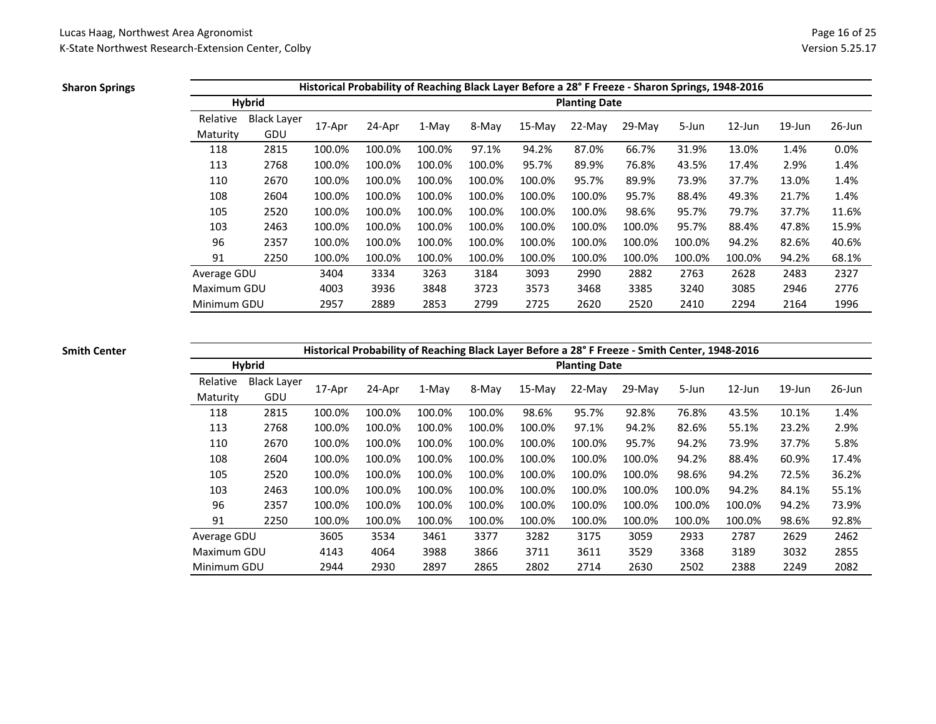### **Sharon Springs**

|             |                    |        |        |        |        |        |                      | Historical Probability of Reaching Black Layer Before a 28°F Freeze - Sharon Springs, 1948-2016 |        |           |           |           |
|-------------|--------------------|--------|--------|--------|--------|--------|----------------------|-------------------------------------------------------------------------------------------------|--------|-----------|-----------|-----------|
|             | <b>Hybrid</b>      |        |        |        |        |        | <b>Planting Date</b> |                                                                                                 |        |           |           |           |
| Relative    | <b>Black Layer</b> |        |        |        |        |        |                      |                                                                                                 |        |           |           |           |
| Maturity    | GDU                | 17-Apr | 24-Apr | 1-May  | 8-May  | 15-May | $22-Mav$             | $29-Mav$                                                                                        | 5-Jun  | $12$ -Jun | $19$ -Jun | $26$ -Jun |
| 118         | 2815               | 100.0% | 100.0% | 100.0% | 97.1%  | 94.2%  | 87.0%                | 66.7%                                                                                           | 31.9%  | 13.0%     | 1.4%      | 0.0%      |
| 113         | 2768               | 100.0% | 100.0% | 100.0% | 100.0% | 95.7%  | 89.9%                | 76.8%                                                                                           | 43.5%  | 17.4%     | 2.9%      | 1.4%      |
| 110         | 2670               | 100.0% | 100.0% | 100.0% | 100.0% | 100.0% | 95.7%                | 89.9%                                                                                           | 73.9%  | 37.7%     | 13.0%     | 1.4%      |
| 108         | 2604               | 100.0% | 100.0% | 100.0% | 100.0% | 100.0% | 100.0%               | 95.7%                                                                                           | 88.4%  | 49.3%     | 21.7%     | 1.4%      |
| 105         | 2520               | 100.0% | 100.0% | 100.0% | 100.0% | 100.0% | 100.0%               | 98.6%                                                                                           | 95.7%  | 79.7%     | 37.7%     | 11.6%     |
| 103         | 2463               | 100.0% | 100.0% | 100.0% | 100.0% | 100.0% | 100.0%               | 100.0%                                                                                          | 95.7%  | 88.4%     | 47.8%     | 15.9%     |
| 96          | 2357               | 100.0% | 100.0% | 100.0% | 100.0% | 100.0% | 100.0%               | 100.0%                                                                                          | 100.0% | 94.2%     | 82.6%     | 40.6%     |
| 91          | 2250               | 100.0% | 100.0% | 100.0% | 100.0% | 100.0% | 100.0%               | 100.0%                                                                                          | 100.0% | 100.0%    | 94.2%     | 68.1%     |
| Average GDU |                    | 3404   | 3334   | 3263   | 3184   | 3093   | 2990                 | 2882                                                                                            | 2763   | 2628      | 2483      | 2327      |
| Maximum GDU |                    | 4003   | 3936   | 3848   | 3723   | 3573   | 3468                 | 3385                                                                                            | 3240   | 3085      | 2946      | 2776      |
| Minimum GDU |                    | 2957   | 2889   | 2853   | 2799   | 2725   | 2620                 | 2520                                                                                            | 2410   | 2294      | 2164      | 1996      |

### **Smith Center**

# **Historical Probability of Reaching Black Layer Before a 28° F Freeze - Smith Center, 1948-2016**

|             | <b>Hybrid</b>      |        |        |        |        |          | <b>Planting Date</b> |          |        |           |           |           |
|-------------|--------------------|--------|--------|--------|--------|----------|----------------------|----------|--------|-----------|-----------|-----------|
| Relative    | <b>Black Layer</b> | 17-Apr | 24-Apr | 1-May  | 8-May  | $15-Mav$ | $22-Mav$             | $29-Mav$ | 5-Jun  | $12$ -Jun | $19$ -Jun | $26$ -Jun |
| Maturity    | GDU                |        |        |        |        |          |                      |          |        |           |           |           |
| 118         | 2815               | 100.0% | 100.0% | 100.0% | 100.0% | 98.6%    | 95.7%                | 92.8%    | 76.8%  | 43.5%     | 10.1%     | 1.4%      |
| 113         | 2768               | 100.0% | 100.0% | 100.0% | 100.0% | 100.0%   | 97.1%                | 94.2%    | 82.6%  | 55.1%     | 23.2%     | 2.9%      |
| 110         | 2670               | 100.0% | 100.0% | 100.0% | 100.0% | 100.0%   | 100.0%               | 95.7%    | 94.2%  | 73.9%     | 37.7%     | 5.8%      |
| 108         | 2604               | 100.0% | 100.0% | 100.0% | 100.0% | 100.0%   | 100.0%               | 100.0%   | 94.2%  | 88.4%     | 60.9%     | 17.4%     |
| 105         | 2520               | 100.0% | 100.0% | 100.0% | 100.0% | 100.0%   | 100.0%               | 100.0%   | 98.6%  | 94.2%     | 72.5%     | 36.2%     |
| 103         | 2463               | 100.0% | 100.0% | 100.0% | 100.0% | 100.0%   | 100.0%               | 100.0%   | 100.0% | 94.2%     | 84.1%     | 55.1%     |
| 96          | 2357               | 100.0% | 100.0% | 100.0% | 100.0% | 100.0%   | 100.0%               | 100.0%   | 100.0% | 100.0%    | 94.2%     | 73.9%     |
| 91          | 2250               | 100.0% | 100.0% | 100.0% | 100.0% | 100.0%   | 100.0%               | 100.0%   | 100.0% | 100.0%    | 98.6%     | 92.8%     |
| Average GDU |                    | 3605   | 3534   | 3461   | 3377   | 3282     | 3175                 | 3059     | 2933   | 2787      | 2629      | 2462      |
| Maximum GDU |                    | 4143   | 4064   | 3988   | 3866   | 3711     | 3611                 | 3529     | 3368   | 3189      | 3032      | 2855      |
| Minimum GDU |                    | 2944   | 2930   | 2897   | 2865   | 2802     | 2714                 | 2630     | 2502   | 2388      | 2249      | 2082      |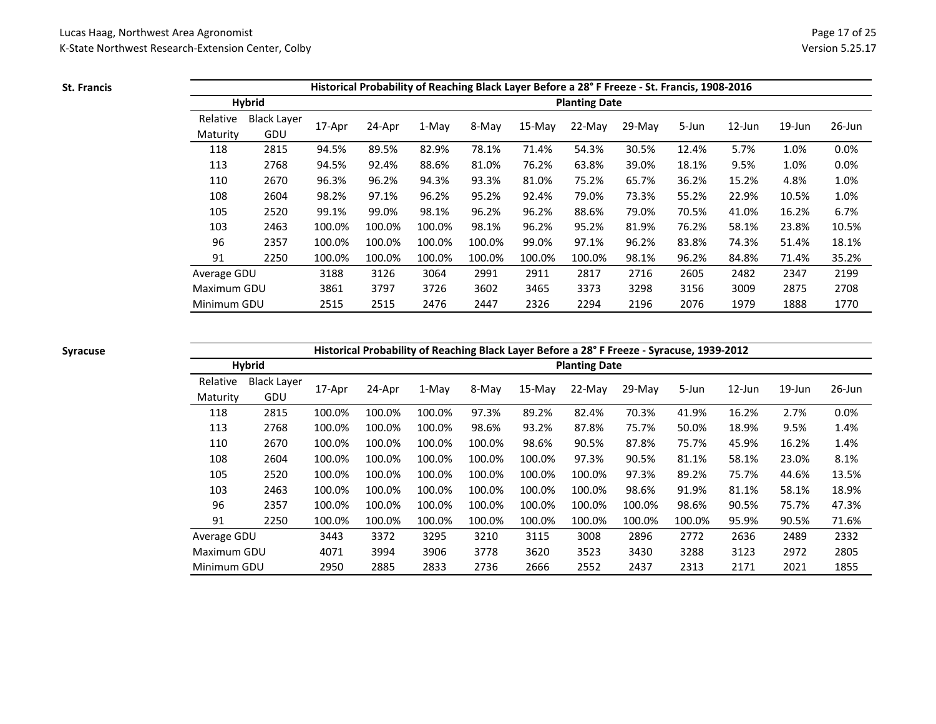**St. Francis**

|             |                    |        |        |        |        |        |                      | Historical Probability of Reaching Black Layer Before a 28° F Freeze - St. Francis, 1908-2016 |       |           |           |        |
|-------------|--------------------|--------|--------|--------|--------|--------|----------------------|-----------------------------------------------------------------------------------------------|-------|-----------|-----------|--------|
|             | <b>Hybrid</b>      |        |        |        |        |        | <b>Planting Date</b> |                                                                                               |       |           |           |        |
| Relative    | <b>Black Layer</b> |        |        |        |        |        |                      |                                                                                               |       |           |           |        |
| Maturity    | GDU                | 17-Apr | 24-Apr | 1-May  | 8-May  | 15-May | $22-Mav$             | $29-Mav$                                                                                      | 5-Jun | $12$ -Jun | $19$ -Jun | 26-Jun |
| 118         | 2815               | 94.5%  | 89.5%  | 82.9%  | 78.1%  | 71.4%  | 54.3%                | 30.5%                                                                                         | 12.4% | 5.7%      | 1.0%      | 0.0%   |
| 113         | 2768               | 94.5%  | 92.4%  | 88.6%  | 81.0%  | 76.2%  | 63.8%                | 39.0%                                                                                         | 18.1% | 9.5%      | 1.0%      | 0.0%   |
| 110         | 2670               | 96.3%  | 96.2%  | 94.3%  | 93.3%  | 81.0%  | 75.2%                | 65.7%                                                                                         | 36.2% | 15.2%     | 4.8%      | 1.0%   |
| 108         | 2604               | 98.2%  | 97.1%  | 96.2%  | 95.2%  | 92.4%  | 79.0%                | 73.3%                                                                                         | 55.2% | 22.9%     | 10.5%     | 1.0%   |
| 105         | 2520               | 99.1%  | 99.0%  | 98.1%  | 96.2%  | 96.2%  | 88.6%                | 79.0%                                                                                         | 70.5% | 41.0%     | 16.2%     | 6.7%   |
| 103         | 2463               | 100.0% | 100.0% | 100.0% | 98.1%  | 96.2%  | 95.2%                | 81.9%                                                                                         | 76.2% | 58.1%     | 23.8%     | 10.5%  |
| 96          | 2357               | 100.0% | 100.0% | 100.0% | 100.0% | 99.0%  | 97.1%                | 96.2%                                                                                         | 83.8% | 74.3%     | 51.4%     | 18.1%  |
| 91          | 2250               | 100.0% | 100.0% | 100.0% | 100.0% | 100.0% | 100.0%               | 98.1%                                                                                         | 96.2% | 84.8%     | 71.4%     | 35.2%  |
| Average GDU |                    | 3188   | 3126   | 3064   | 2991   | 2911   | 2817                 | 2716                                                                                          | 2605  | 2482      | 2347      | 2199   |
| Maximum GDU |                    | 3861   | 3797   | 3726   | 3602   | 3465   | 3373                 | 3298                                                                                          | 3156  | 3009      | 2875      | 2708   |
| Minimum GDU |                    | 2515   | 2515   | 2476   | 2447   | 2326   | 2294                 | 2196                                                                                          | 2076  | 1979      | 1888      | 1770   |

### **Syracuse**

**Historical Probability of Reaching Black Layer Before a 28° F Freeze - Syracuse, 1939-2012**

|             | <b>Hybrid</b>               |        |        |         |        |          | <b>Planting Date</b> |          |        |           |           |           |
|-------------|-----------------------------|--------|--------|---------|--------|----------|----------------------|----------|--------|-----------|-----------|-----------|
| Relative    | <b>Black Layer</b>          | 17-Apr | 24-Apr | $1-Mav$ | 8-May  | $15-Mav$ | 22-May               | $29-Mav$ | 5-Jun  | $12$ -Jun | $19$ -Jun | $26$ -Jun |
| Maturity    | GDU                         |        |        |         |        |          |                      |          |        |           |           |           |
| 118         | 2815                        | 100.0% | 100.0% | 100.0%  | 97.3%  | 89.2%    | 82.4%                | 70.3%    | 41.9%  | 16.2%     | 2.7%      | 0.0%      |
| 113         | 2768                        | 100.0% | 100.0% | 100.0%  | 98.6%  | 93.2%    | 87.8%                | 75.7%    | 50.0%  | 18.9%     | 9.5%      | 1.4%      |
| 110         | 2670                        | 100.0% | 100.0% | 100.0%  | 100.0% | 98.6%    | 90.5%                | 87.8%    | 75.7%  | 45.9%     | 16.2%     | 1.4%      |
| 108         | 2604                        | 100.0% | 100.0% | 100.0%  | 100.0% | 100.0%   | 97.3%                | 90.5%    | 81.1%  | 58.1%     | 23.0%     | 8.1%      |
| 105         | 2520                        | 100.0% | 100.0% | 100.0%  | 100.0% | 100.0%   | 100.0%               | 97.3%    | 89.2%  | 75.7%     | 44.6%     | 13.5%     |
| 103         | 2463                        | 100.0% | 100.0% | 100.0%  | 100.0% | 100.0%   | 100.0%               | 98.6%    | 91.9%  | 81.1%     | 58.1%     | 18.9%     |
| 96          | 2357                        | 100.0% | 100.0% | 100.0%  | 100.0% | 100.0%   | 100.0%               | 100.0%   | 98.6%  | 90.5%     | 75.7%     | 47.3%     |
| 91          | 2250                        | 100.0% | 100.0% | 100.0%  | 100.0% | 100.0%   | 100.0%               | 100.0%   | 100.0% | 95.9%     | 90.5%     | 71.6%     |
| Average GDU |                             | 3443   | 3372   | 3295    | 3210   | 3115     | 3008                 | 2896     | 2772   | 2636      | 2489      | 2332      |
| Maximum GDU |                             | 4071   | 3994   | 3906    | 3778   | 3620     | 3523                 | 3430     | 3288   | 3123      | 2972      | 2805      |
|             | 2885<br>2950<br>Minimum GDU |        |        | 2833    | 2736   | 2666     | 2552                 | 2437     | 2313   | 2171      | 2021      | 1855      |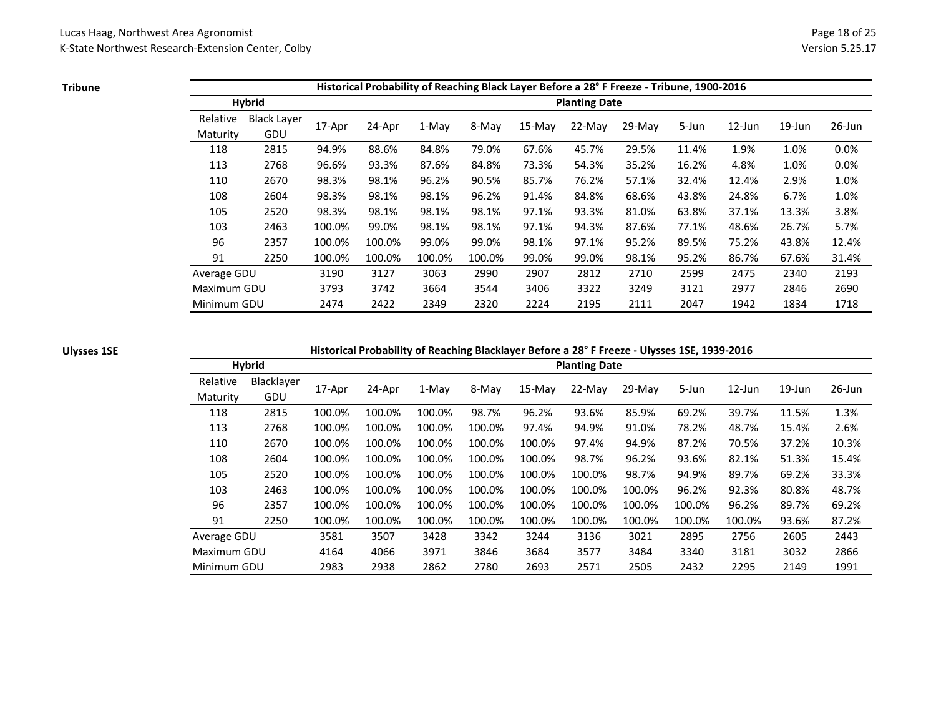**Tribune**

|             |                    |        |        |        |        |          |                      | Historical Probability of Reaching Black Layer Before a 28° F Freeze - Tribune, 1900-2016 |       |           |           |           |
|-------------|--------------------|--------|--------|--------|--------|----------|----------------------|-------------------------------------------------------------------------------------------|-------|-----------|-----------|-----------|
|             | <b>Hybrid</b>      |        |        |        |        |          | <b>Planting Date</b> |                                                                                           |       |           |           |           |
| Relative    | <b>Black Layer</b> |        |        |        |        |          |                      |                                                                                           |       |           | $19$ -Jun | $26$ -Jun |
| Maturity    | GDU                | 17-Apr | 24-Apr | 1-May  | 8-May  | $15-Mav$ | $22-Mav$             | 29-May                                                                                    | 5-Jun | $12$ -Jun |           |           |
| 118         | 2815               | 94.9%  | 88.6%  | 84.8%  | 79.0%  | 67.6%    | 45.7%                | 29.5%                                                                                     | 11.4% | 1.9%      | 1.0%      | 0.0%      |
| 113         | 2768               | 96.6%  | 93.3%  | 87.6%  | 84.8%  | 73.3%    | 54.3%                | 35.2%                                                                                     | 16.2% | 4.8%      | 1.0%      | 0.0%      |
| 110         | 2670               | 98.3%  | 98.1%  | 96.2%  | 90.5%  | 85.7%    | 76.2%                | 57.1%                                                                                     | 32.4% | 12.4%     | 2.9%      | 1.0%      |
| 108         | 2604               | 98.3%  | 98.1%  | 98.1%  | 96.2%  | 91.4%    | 84.8%                | 68.6%                                                                                     | 43.8% | 24.8%     | 6.7%      | 1.0%      |
| 105         | 2520               | 98.3%  | 98.1%  | 98.1%  | 98.1%  | 97.1%    | 93.3%                | 81.0%                                                                                     | 63.8% | 37.1%     | 13.3%     | 3.8%      |
| 103         | 2463               | 100.0% | 99.0%  | 98.1%  | 98.1%  | 97.1%    | 94.3%                | 87.6%                                                                                     | 77.1% | 48.6%     | 26.7%     | 5.7%      |
| 96          | 2357               | 100.0% | 100.0% | 99.0%  | 99.0%  | 98.1%    | 97.1%                | 95.2%                                                                                     | 89.5% | 75.2%     | 43.8%     | 12.4%     |
| 91          | 2250               | 100.0% | 100.0% | 100.0% | 100.0% | 99.0%    | 99.0%                | 98.1%                                                                                     | 95.2% | 86.7%     | 67.6%     | 31.4%     |
| Average GDU |                    | 3190   | 3127   | 3063   | 2990   | 2907     | 2812                 | 2710                                                                                      | 2599  | 2475      | 2340      | 2193      |
| Maximum GDU |                    | 3793   | 3742   | 3664   | 3544   | 3406     | 3322                 | 3249                                                                                      | 3121  | 2977      | 2846      | 2690      |
| Minimum GDU |                    | 2474   | 2422   | 2349   | 2320   | 2224     | 2195                 | 2111                                                                                      | 2047  | 1942      | 1834      | 1718      |

# **Ulysses 1SE**

# **Historical Probability of Reaching Blacklayer Before a 28° F Freeze - Ulysses 1SE, 1939-2016**

|             | <b>Hybrid</b> |        |        | . .    | ັ      |          | <b>Planting Date</b> |          |        |           |           |           |
|-------------|---------------|--------|--------|--------|--------|----------|----------------------|----------|--------|-----------|-----------|-----------|
| Relative    | Blacklayer    | 17-Apr | 24-Apr | 1-May  | 8-May  | $15-Mav$ | 22-May               | $29-May$ | 5-Jun  | $12$ -Jun | $19$ -Jun | $26$ -Jun |
| Maturity    | GDU           |        |        |        |        |          |                      |          |        |           |           |           |
| 118         | 2815          | 100.0% | 100.0% | 100.0% | 98.7%  | 96.2%    | 93.6%                | 85.9%    | 69.2%  | 39.7%     | 11.5%     | 1.3%      |
| 113         | 2768          | 100.0% | 100.0% | 100.0% | 100.0% | 97.4%    | 94.9%                | 91.0%    | 78.2%  | 48.7%     | 15.4%     | 2.6%      |
| 110         | 2670          | 100.0% | 100.0% | 100.0% | 100.0% | 100.0%   | 97.4%                | 94.9%    | 87.2%  | 70.5%     | 37.2%     | 10.3%     |
| 108         | 2604          | 100.0% | 100.0% | 100.0% | 100.0% | 100.0%   | 98.7%                | 96.2%    | 93.6%  | 82.1%     | 51.3%     | 15.4%     |
| 105         | 2520          | 100.0% | 100.0% | 100.0% | 100.0% | 100.0%   | 100.0%               | 98.7%    | 94.9%  | 89.7%     | 69.2%     | 33.3%     |
| 103         | 2463          | 100.0% | 100.0% | 100.0% | 100.0% | 100.0%   | 100.0%               | 100.0%   | 96.2%  | 92.3%     | 80.8%     | 48.7%     |
| 96          | 2357          | 100.0% | 100.0% | 100.0% | 100.0% | 100.0%   | 100.0%               | 100.0%   | 100.0% | 96.2%     | 89.7%     | 69.2%     |
| 91          | 2250          | 100.0% | 100.0% | 100.0% | 100.0% | 100.0%   | 100.0%               | 100.0%   | 100.0% | 100.0%    | 93.6%     | 87.2%     |
| Average GDU |               | 3581   | 3507   | 3428   | 3342   | 3244     | 3136                 | 3021     | 2895   | 2756      | 2605      | 2443      |
| Maximum GDU |               | 4164   | 4066   | 3971   | 3846   | 3684     | 3577                 | 3484     | 3340   | 3181      | 3032      | 2866      |
| Minimum GDU |               | 2983   | 2938   | 2862   | 2780   | 2693     | 2571                 | 2505     | 2432   | 2295      | 2149      | 1991      |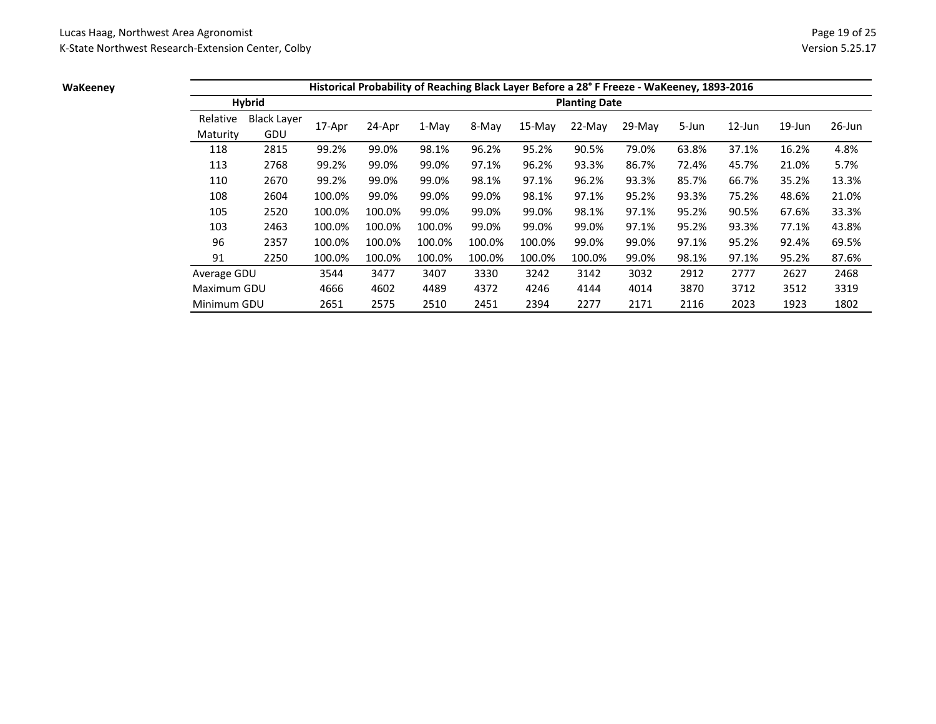### **WaKeeney**

|             |                    |        |        |        |        |           |                      | Historical Probability of Reaching Black Layer Before a 28°F Freeze - WaKeeney, 1893-2016 |       |           |           |           |
|-------------|--------------------|--------|--------|--------|--------|-----------|----------------------|-------------------------------------------------------------------------------------------|-------|-----------|-----------|-----------|
|             | <b>Hybrid</b>      |        |        |        |        |           | <b>Planting Date</b> |                                                                                           |       |           |           |           |
| Relative    | <b>Black Layer</b> |        |        | 1-May  |        |           | $22-Mav$             | 29-May                                                                                    | 5-Jun | $12$ -Jun | $19$ -Jun | $26$ -Jun |
| Maturity    | GDU                | 17-Apr | 24-Apr |        | 8-May  | $15$ -May |                      |                                                                                           |       |           |           |           |
| 118         | 2815               | 99.2%  | 99.0%  | 98.1%  | 96.2%  | 95.2%     | 90.5%                | 79.0%                                                                                     | 63.8% | 37.1%     | 16.2%     | 4.8%      |
| 113         | 2768               | 99.2%  | 99.0%  | 99.0%  | 97.1%  | 96.2%     | 93.3%                | 86.7%                                                                                     | 72.4% | 45.7%     | 21.0%     | 5.7%      |
| 110         | 2670               | 99.2%  | 99.0%  | 99.0%  | 98.1%  | 97.1%     | 96.2%                | 93.3%                                                                                     | 85.7% | 66.7%     | 35.2%     | 13.3%     |
| 108         | 2604               | 100.0% | 99.0%  | 99.0%  | 99.0%  | 98.1%     | 97.1%                | 95.2%                                                                                     | 93.3% | 75.2%     | 48.6%     | 21.0%     |
| 105         | 2520               | 100.0% | 100.0% | 99.0%  | 99.0%  | 99.0%     | 98.1%                | 97.1%                                                                                     | 95.2% | 90.5%     | 67.6%     | 33.3%     |
| 103         | 2463               | 100.0% | 100.0% | 100.0% | 99.0%  | 99.0%     | 99.0%                | 97.1%                                                                                     | 95.2% | 93.3%     | 77.1%     | 43.8%     |
| 96          | 2357               | 100.0% | 100.0% | 100.0% | 100.0% | 100.0%    | 99.0%                | 99.0%                                                                                     | 97.1% | 95.2%     | 92.4%     | 69.5%     |
| 91          | 2250               | 100.0% | 100.0% | 100.0% | 100.0% | 100.0%    | 100.0%               | 99.0%                                                                                     | 98.1% | 97.1%     | 95.2%     | 87.6%     |
| Average GDU |                    | 3544   | 3477   | 3407   | 3330   | 3242      | 3142                 | 3032                                                                                      | 2912  | 2777      | 2627      | 2468      |
| Maximum GDU |                    | 4666   | 4602   | 4489   | 4372   | 4246      | 4144                 | 4014                                                                                      | 3870  | 3712      | 3512      | 3319      |
| Minimum GDU |                    | 2651   | 2575   | 2510   | 2451   | 2394      | 2277                 | 2171                                                                                      | 2116  | 2023      | 1923      | 1802      |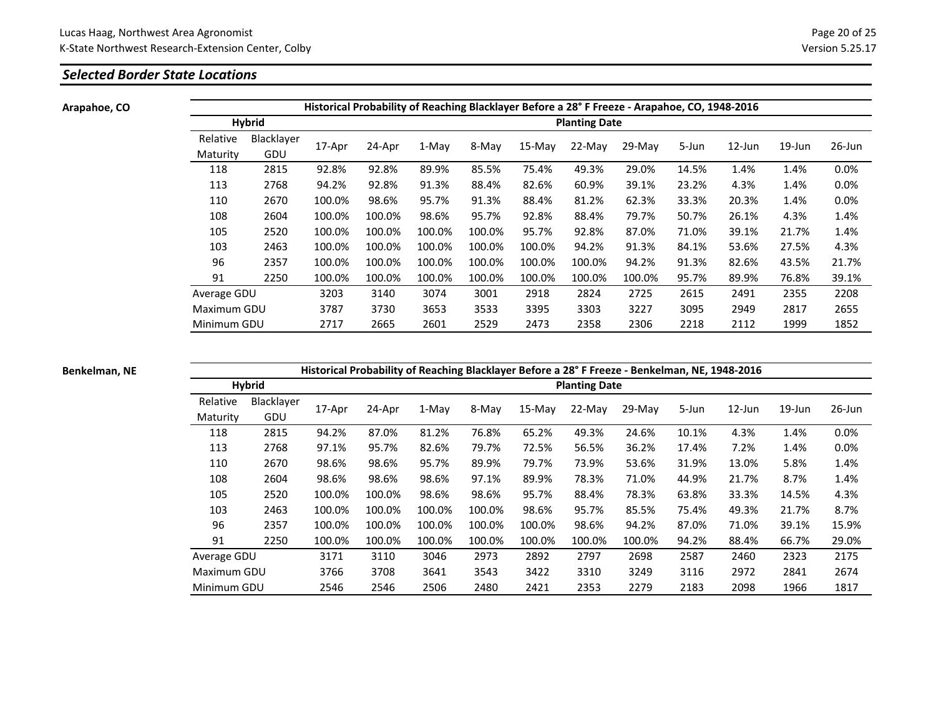# *Selected Border State Locations*

**Arapahoe, CO**

|                      |                   |        |        |        |        |        |                      | Historical Probability of Reaching Blacklayer Before a 28° F Freeze - Arapahoe, CO, 1948-2016 |       |           |           |           |
|----------------------|-------------------|--------|--------|--------|--------|--------|----------------------|-----------------------------------------------------------------------------------------------|-------|-----------|-----------|-----------|
|                      | <b>Hybrid</b>     |        |        |        |        |        | <b>Planting Date</b> |                                                                                               |       |           |           |           |
| Relative<br>Maturity | Blacklayer<br>GDU | 17-Apr | 24-Apr | 1-May  | 8-May  | 15-May | $22-Mav$             | 29-May                                                                                        | 5-Jun | $12$ -Jun | $19$ -Jun | $26$ -Jun |
| 118                  | 2815              | 92.8%  | 92.8%  | 89.9%  | 85.5%  | 75.4%  | 49.3%                | 29.0%                                                                                         | 14.5% | 1.4%      | 1.4%      | 0.0%      |
| 113                  | 2768              | 94.2%  | 92.8%  | 91.3%  | 88.4%  | 82.6%  | 60.9%                | 39.1%                                                                                         | 23.2% | 4.3%      | 1.4%      | 0.0%      |
| 110                  | 2670              | 100.0% | 98.6%  | 95.7%  | 91.3%  | 88.4%  | 81.2%                | 62.3%                                                                                         | 33.3% | 20.3%     | 1.4%      | 0.0%      |
| 108                  | 2604              | 100.0% | 100.0% | 98.6%  | 95.7%  | 92.8%  | 88.4%                | 79.7%                                                                                         | 50.7% | 26.1%     | 4.3%      | 1.4%      |
| 105                  | 2520              | 100.0% | 100.0% | 100.0% | 100.0% | 95.7%  | 92.8%                | 87.0%                                                                                         | 71.0% | 39.1%     | 21.7%     | 1.4%      |
| 103                  | 2463              | 100.0% | 100.0% | 100.0% | 100.0% | 100.0% | 94.2%                | 91.3%                                                                                         | 84.1% | 53.6%     | 27.5%     | 4.3%      |
| 96                   | 2357              | 100.0% | 100.0% | 100.0% | 100.0% | 100.0% | 100.0%               | 94.2%                                                                                         | 91.3% | 82.6%     | 43.5%     | 21.7%     |
| 91                   | 2250              | 100.0% | 100.0% | 100.0% | 100.0% | 100.0% | 100.0%               | 100.0%                                                                                        | 95.7% | 89.9%     | 76.8%     | 39.1%     |
| Average GDU          |                   | 3203   | 3140   | 3074   | 3001   | 2918   | 2824                 | 2725                                                                                          | 2615  | 2491      | 2355      | 2208      |
| Maximum GDU          |                   | 3787   | 3730   | 3653   | 3533   | 3395   | 3303                 | 3227                                                                                          | 3095  | 2949      | 2817      | 2655      |
| Minimum GDU          |                   | 2717   | 2665   | 2601   | 2529   | 2473   | 2358                 | 2306                                                                                          | 2218  | 2112      | 1999      | 1852      |

**Benkelman, NE**

|             |               |        |        |        |        |        |                      | Historical Probability of Reaching Blacklayer Before a 28° F Freeze - Benkelman, NE, 1948-2016 |       |           |           |           |
|-------------|---------------|--------|--------|--------|--------|--------|----------------------|------------------------------------------------------------------------------------------------|-------|-----------|-----------|-----------|
|             | <b>Hybrid</b> |        |        |        |        |        | <b>Planting Date</b> |                                                                                                |       |           |           |           |
| Relative    | Blacklayer    | 17-Apr |        | 1-May  | 8-May  |        | $22-Mav$             | $29-Mav$                                                                                       | 5-Jun | $12$ -Jun | $19$ -Jun | $26$ -Jun |
| Maturity    | GDU           |        | 24-Apr |        |        | 15-May |                      |                                                                                                |       |           |           |           |
| 118         | 2815          | 94.2%  | 87.0%  | 81.2%  | 76.8%  | 65.2%  | 49.3%                | 24.6%                                                                                          | 10.1% | 4.3%      | 1.4%      | 0.0%      |
| 113         | 2768          | 97.1%  | 95.7%  | 82.6%  | 79.7%  | 72.5%  | 56.5%                | 36.2%                                                                                          | 17.4% | 7.2%      | 1.4%      | 0.0%      |
| 110         | 2670          | 98.6%  | 98.6%  | 95.7%  | 89.9%  | 79.7%  | 73.9%                | 53.6%                                                                                          | 31.9% | 13.0%     | 5.8%      | 1.4%      |
| 108         | 2604          | 98.6%  | 98.6%  | 98.6%  | 97.1%  | 89.9%  | 78.3%                | 71.0%                                                                                          | 44.9% | 21.7%     | 8.7%      | 1.4%      |
| 105         | 2520          | 100.0% | 100.0% | 98.6%  | 98.6%  | 95.7%  | 88.4%                | 78.3%                                                                                          | 63.8% | 33.3%     | 14.5%     | 4.3%      |
| 103         | 2463          | 100.0% | 100.0% | 100.0% | 100.0% | 98.6%  | 95.7%                | 85.5%                                                                                          | 75.4% | 49.3%     | 21.7%     | 8.7%      |
| 96          | 2357          | 100.0% | 100.0% | 100.0% | 100.0% | 100.0% | 98.6%                | 94.2%                                                                                          | 87.0% | 71.0%     | 39.1%     | 15.9%     |
| 91          | 2250          | 100.0% | 100.0% | 100.0% | 100.0% | 100.0% | 100.0%               | 100.0%                                                                                         | 94.2% | 88.4%     | 66.7%     | 29.0%     |
| Average GDU |               | 3171   | 3110   | 3046   | 2973   | 2892   | 2797                 | 2698                                                                                           | 2587  | 2460      | 2323      | 2175      |
| Maximum GDU |               | 3766   | 3708   | 3641   | 3543   | 3422   | 3310                 | 3249                                                                                           | 3116  | 2972      | 2841      | 2674      |
| Minimum GDU |               | 2546   | 2546   | 2506   | 2480   | 2421   | 2353                 | 2279                                                                                           | 2183  | 2098      | 1966      | 1817      |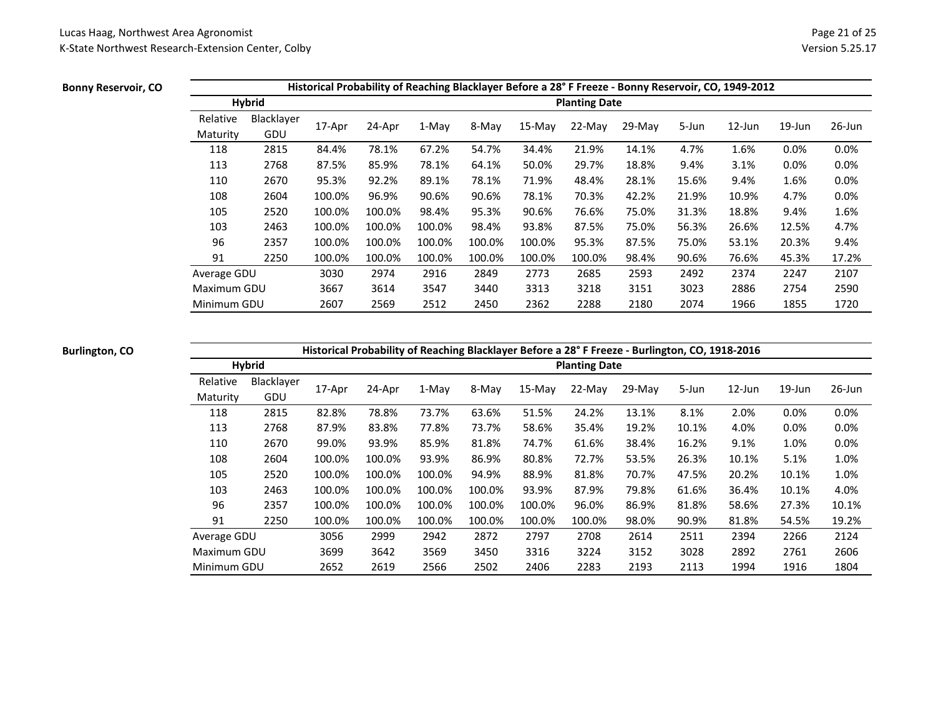### **Bonny Reservoir, CO**

|             |               |        |        |        |        |           |                      | Historical Probability of Reaching Blacklayer Before a 28° F Freeze - Bonny Reservoir, CO, 1949-2012 |       |           |           |           |
|-------------|---------------|--------|--------|--------|--------|-----------|----------------------|------------------------------------------------------------------------------------------------------|-------|-----------|-----------|-----------|
|             | <b>Hybrid</b> |        |        |        |        |           | <b>Planting Date</b> |                                                                                                      |       |           |           |           |
| Relative    | Blacklayer    |        |        |        |        |           | 22-May               | 29-May                                                                                               | 5-Jun | $12$ -Jun | $19$ -Jun | $26$ -Jun |
| Maturity    | GDU           | 17-Apr | 24-Apr | 1-May  | 8-May  | $15$ -May |                      |                                                                                                      |       |           |           |           |
| 118         | 2815          | 84.4%  | 78.1%  | 67.2%  | 54.7%  | 34.4%     | 21.9%                | 14.1%                                                                                                | 4.7%  | 1.6%      | 0.0%      | 0.0%      |
| 113         | 2768          | 87.5%  | 85.9%  | 78.1%  | 64.1%  | 50.0%     | 29.7%                | 18.8%                                                                                                | 9.4%  | 3.1%      | 0.0%      | 0.0%      |
| 110         | 2670          | 95.3%  | 92.2%  | 89.1%  | 78.1%  | 71.9%     | 48.4%                | 28.1%                                                                                                | 15.6% | 9.4%      | 1.6%      | 0.0%      |
| 108         | 2604          | 100.0% | 96.9%  | 90.6%  | 90.6%  | 78.1%     | 70.3%                | 42.2%                                                                                                | 21.9% | 10.9%     | 4.7%      | 0.0%      |
| 105         | 2520          | 100.0% | 100.0% | 98.4%  | 95.3%  | 90.6%     | 76.6%                | 75.0%                                                                                                | 31.3% | 18.8%     | 9.4%      | 1.6%      |
| 103         | 2463          | 100.0% | 100.0% | 100.0% | 98.4%  | 93.8%     | 87.5%                | 75.0%                                                                                                | 56.3% | 26.6%     | 12.5%     | 4.7%      |
| 96          | 2357          | 100.0% | 100.0% | 100.0% | 100.0% | 100.0%    | 95.3%                | 87.5%                                                                                                | 75.0% | 53.1%     | 20.3%     | 9.4%      |
| 91          | 2250          | 100.0% | 100.0% | 100.0% | 100.0% | 100.0%    | 100.0%               | 98.4%                                                                                                | 90.6% | 76.6%     | 45.3%     | 17.2%     |
| Average GDU |               | 3030   | 2974   | 2916   | 2849   | 2773      | 2685                 | 2593                                                                                                 | 2492  | 2374      | 2247      | 2107      |
| Maximum GDU |               | 3667   | 3614   | 3547   | 3440   | 3313      | 3218                 | 3151                                                                                                 | 3023  | 2886      | 2754      | 2590      |
| Minimum GDU |               | 2607   | 2569   | 2512   | 2450   | 2362      | 2288                 | 2180                                                                                                 | 2074  | 1966      | 1855      | 1720      |

### **Burlington, CO**

**Historical Probability of Reaching Blacklayer Before a 28° F Freeze - Burlington, CO, 1918-2016**

|             | <b>Hybrid</b> |        | $\mathbf{r}$ |        | ັ<br>. . |          | <b>Planting Date</b> |          |       |           |           |           |
|-------------|---------------|--------|--------------|--------|----------|----------|----------------------|----------|-------|-----------|-----------|-----------|
| Relative    | Blacklayer    | 17-Apr | 24-Apr       | 1-May  | 8-May    | $15-Mav$ | 22-May               | $29-Mav$ | 5-Jun | $12$ -Jun | $19$ -Jun | $26$ -Jun |
| Maturity    | GDU           |        |              |        |          |          |                      |          |       |           |           |           |
| 118         | 2815          | 82.8%  | 78.8%        | 73.7%  | 63.6%    | 51.5%    | 24.2%                | 13.1%    | 8.1%  | 2.0%      | 0.0%      | 0.0%      |
| 113         | 2768          | 87.9%  | 83.8%        | 77.8%  | 73.7%    | 58.6%    | 35.4%                | 19.2%    | 10.1% | 4.0%      | 0.0%      | 0.0%      |
| 110         | 2670          | 99.0%  | 93.9%        | 85.9%  | 81.8%    | 74.7%    | 61.6%                | 38.4%    | 16.2% | 9.1%      | 1.0%      | 0.0%      |
| 108         | 2604          | 100.0% | 100.0%       | 93.9%  | 86.9%    | 80.8%    | 72.7%                | 53.5%    | 26.3% | 10.1%     | 5.1%      | 1.0%      |
| 105         | 2520          | 100.0% | 100.0%       | 100.0% | 94.9%    | 88.9%    | 81.8%                | 70.7%    | 47.5% | 20.2%     | 10.1%     | 1.0%      |
| 103         | 2463          | 100.0% | 100.0%       | 100.0% | 100.0%   | 93.9%    | 87.9%                | 79.8%    | 61.6% | 36.4%     | 10.1%     | 4.0%      |
| 96          | 2357          | 100.0% | 100.0%       | 100.0% | 100.0%   | 100.0%   | 96.0%                | 86.9%    | 81.8% | 58.6%     | 27.3%     | 10.1%     |
| 91          | 2250          | 100.0% | 100.0%       | 100.0% | 100.0%   | 100.0%   | 100.0%               | 98.0%    | 90.9% | 81.8%     | 54.5%     | 19.2%     |
| Average GDU |               | 3056   | 2999         | 2942   | 2872     | 2797     | 2708                 | 2614     | 2511  | 2394      | 2266      | 2124      |
| Maximum GDU |               | 3699   | 3642         | 3569   | 3450     | 3316     | 3224                 | 3152     | 3028  | 2892      | 2761      | 2606      |
| Minimum GDU |               | 2652   | 2619         | 2566   | 2502     | 2406     | 2283                 | 2193     | 2113  | 1994      | 1916      | 1804      |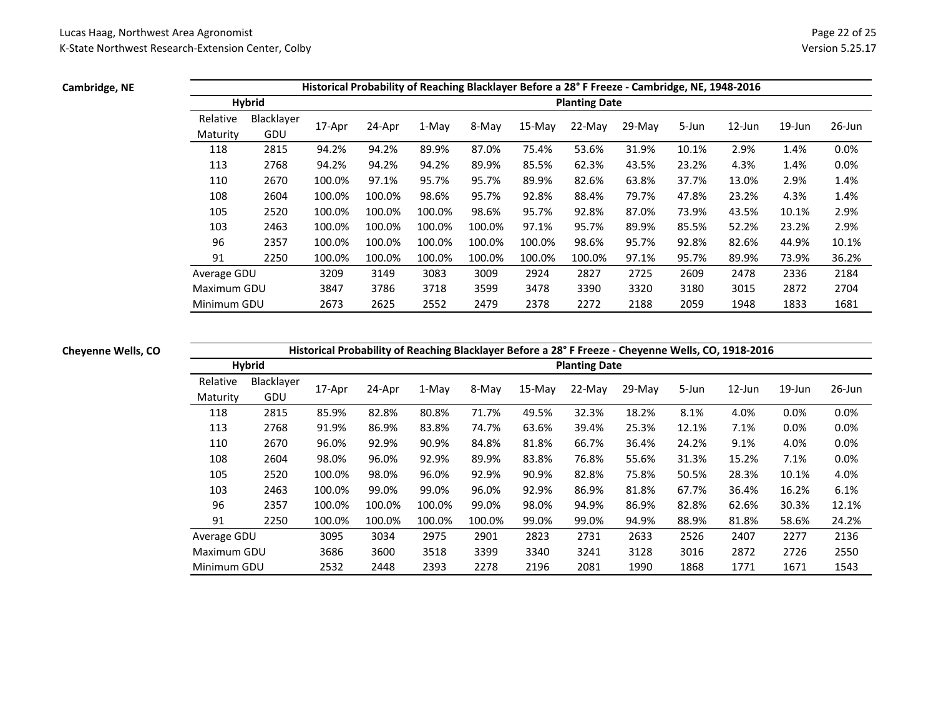### **Cambridge, NE**

|             |               |        |        |         |        |        |                      | Historical Probability of Reaching Blacklayer Before a 28° F Freeze - Cambridge, NE, 1948-2016 |       |           |           |           |
|-------------|---------------|--------|--------|---------|--------|--------|----------------------|------------------------------------------------------------------------------------------------|-------|-----------|-----------|-----------|
|             | <b>Hybrid</b> |        |        |         |        |        | <b>Planting Date</b> |                                                                                                |       |           |           |           |
| Relative    | Blacklayer    |        |        |         |        |        |                      |                                                                                                |       | $12$ -Jun | $19$ -Jun | $26$ -Jun |
| Maturity    | GDU           | 17-Apr | 24-Apr | $1-Mav$ | 8-May  | 15-May | $22-Mav$             | $29-Mav$                                                                                       | 5-Jun |           |           |           |
| 118         | 2815          | 94.2%  | 94.2%  | 89.9%   | 87.0%  | 75.4%  | 53.6%                | 31.9%                                                                                          | 10.1% | 2.9%      | 1.4%      | 0.0%      |
| 113         | 2768          | 94.2%  | 94.2%  | 94.2%   | 89.9%  | 85.5%  | 62.3%                | 43.5%                                                                                          | 23.2% | 4.3%      | 1.4%      | 0.0%      |
| 110         | 2670          | 100.0% | 97.1%  | 95.7%   | 95.7%  | 89.9%  | 82.6%                | 63.8%                                                                                          | 37.7% | 13.0%     | 2.9%      | 1.4%      |
| 108         | 2604          | 100.0% | 100.0% | 98.6%   | 95.7%  | 92.8%  | 88.4%                | 79.7%                                                                                          | 47.8% | 23.2%     | 4.3%      | 1.4%      |
| 105         | 2520          | 100.0% | 100.0% | 100.0%  | 98.6%  | 95.7%  | 92.8%                | 87.0%                                                                                          | 73.9% | 43.5%     | 10.1%     | 2.9%      |
| 103         | 2463          | 100.0% | 100.0% | 100.0%  | 100.0% | 97.1%  | 95.7%                | 89.9%                                                                                          | 85.5% | 52.2%     | 23.2%     | 2.9%      |
| 96          | 2357          | 100.0% | 100.0% | 100.0%  | 100.0% | 100.0% | 98.6%                | 95.7%                                                                                          | 92.8% | 82.6%     | 44.9%     | 10.1%     |
| 91          | 2250          | 100.0% | 100.0% | 100.0%  | 100.0% | 100.0% | 100.0%               | 97.1%                                                                                          | 95.7% | 89.9%     | 73.9%     | 36.2%     |
| Average GDU |               | 3209   | 3149   | 3083    | 3009   | 2924   | 2827                 | 2725                                                                                           | 2609  | 2478      | 2336      | 2184      |
| Maximum GDU |               | 3847   | 3786   | 3718    | 3599   | 3478   | 3390                 | 3320                                                                                           | 3180  | 3015      | 2872      | 2704      |
| Minimum GDU |               | 2673   | 2625   | 2552    | 2479   | 2378   | 2272                 | 2188                                                                                           | 2059  | 1948      | 1833      | 1681      |

### **Cheyenne Wells, CO**

# **Historical Probability of Reaching Blacklayer Before a 28° F Freeze - Cheyenne Wells, CO, 1918-2016**

|             | <b>Hybrid</b> |        |        | $\tilde{\phantom{a}}$ |        |          | <b>Planting Date</b> |          |       |           |           |           |
|-------------|---------------|--------|--------|-----------------------|--------|----------|----------------------|----------|-------|-----------|-----------|-----------|
| Relative    | Blacklayer    | 17-Apr | 24-Apr | 1-May                 | 8-May  | $15-Mav$ | 22-May               | $29-May$ | 5-Jun | $12$ -Jun | $19$ -Jun | $26$ -Jun |
| Maturity    | GDU           |        |        |                       |        |          |                      |          |       |           |           |           |
| 118         | 2815          | 85.9%  | 82.8%  | 80.8%                 | 71.7%  | 49.5%    | 32.3%                | 18.2%    | 8.1%  | 4.0%      | 0.0%      | 0.0%      |
| 113         | 2768          | 91.9%  | 86.9%  | 83.8%                 | 74.7%  | 63.6%    | 39.4%                | 25.3%    | 12.1% | 7.1%      | 0.0%      | 0.0%      |
| 110         | 2670          | 96.0%  | 92.9%  | 90.9%                 | 84.8%  | 81.8%    | 66.7%                | 36.4%    | 24.2% | 9.1%      | 4.0%      | 0.0%      |
| 108         | 2604          | 98.0%  | 96.0%  | 92.9%                 | 89.9%  | 83.8%    | 76.8%                | 55.6%    | 31.3% | 15.2%     | 7.1%      | 0.0%      |
| 105         | 2520          | 100.0% | 98.0%  | 96.0%                 | 92.9%  | 90.9%    | 82.8%                | 75.8%    | 50.5% | 28.3%     | 10.1%     | 4.0%      |
| 103         | 2463          | 100.0% | 99.0%  | 99.0%                 | 96.0%  | 92.9%    | 86.9%                | 81.8%    | 67.7% | 36.4%     | 16.2%     | 6.1%      |
| 96          | 2357          | 100.0% | 100.0% | 100.0%                | 99.0%  | 98.0%    | 94.9%                | 86.9%    | 82.8% | 62.6%     | 30.3%     | 12.1%     |
| 91          | 2250          | 100.0% | 100.0% | 100.0%                | 100.0% | 99.0%    | 99.0%                | 94.9%    | 88.9% | 81.8%     | 58.6%     | 24.2%     |
| Average GDU |               | 3095   | 3034   | 2975                  | 2901   | 2823     | 2731                 | 2633     | 2526  | 2407      | 2277      | 2136      |
| Maximum GDU |               | 3686   | 3600   | 3518                  | 3399   | 3340     | 3241                 | 3128     | 3016  | 2872      | 2726      | 2550      |
| Minimum GDU |               | 2532   | 2448   | 2393                  | 2278   | 2196     | 2081                 | 1990     | 1868  | 1771      | 1671      | 1543      |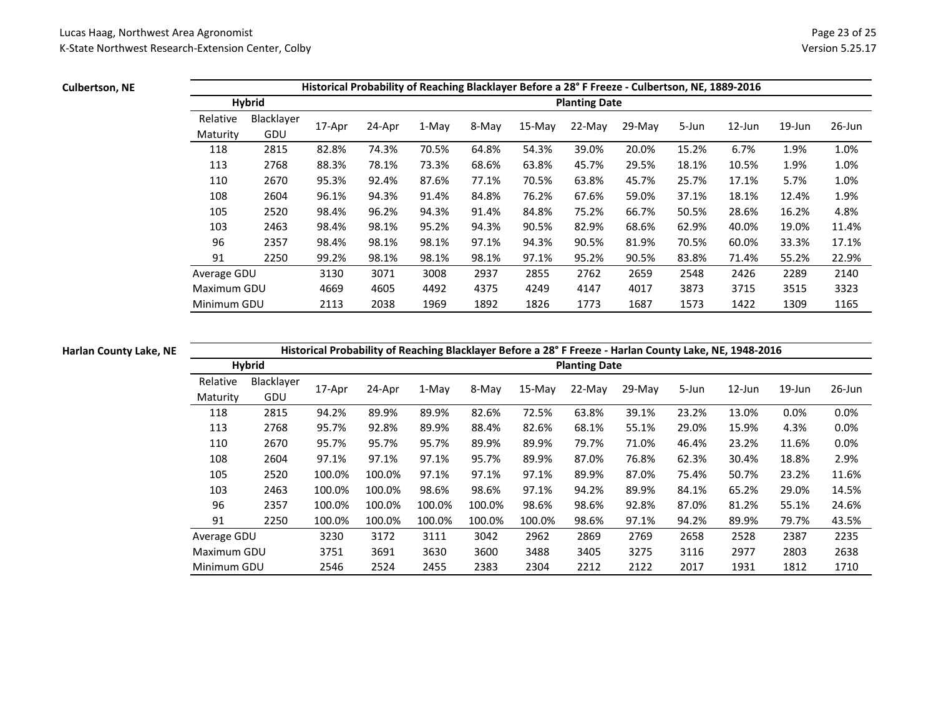# **Culbertson, NE**

|             |            |        |        |       |       |          |                      | Historical Probability of Reaching Blacklayer Before a 28° F Freeze - Culbertson, NE, 1889-2016 |       |           |           |           |
|-------------|------------|--------|--------|-------|-------|----------|----------------------|-------------------------------------------------------------------------------------------------|-------|-----------|-----------|-----------|
|             | Hybrid     |        |        |       |       |          | <b>Planting Date</b> |                                                                                                 |       |           |           |           |
| Relative    | Blacklayer |        |        |       |       |          | 22-May               |                                                                                                 |       | $12$ -Jun | $19$ -Jun | $26$ -Jun |
| Maturity    | GDU        | 17-Apr | 24-Apr | 1-May | 8-May | $15-Mav$ |                      | $29-Mav$                                                                                        | 5-Jun |           |           |           |
| 118         | 2815       | 82.8%  | 74.3%  | 70.5% | 64.8% | 54.3%    | 39.0%                | 20.0%                                                                                           | 15.2% | 6.7%      | 1.9%      | 1.0%      |
| 113         | 2768       | 88.3%  | 78.1%  | 73.3% | 68.6% | 63.8%    | 45.7%                | 29.5%                                                                                           | 18.1% | 10.5%     | 1.9%      | 1.0%      |
| 110         | 2670       | 95.3%  | 92.4%  | 87.6% | 77.1% | 70.5%    | 63.8%                | 45.7%                                                                                           | 25.7% | 17.1%     | 5.7%      | 1.0%      |
| 108         | 2604       | 96.1%  | 94.3%  | 91.4% | 84.8% | 76.2%    | 67.6%                | 59.0%                                                                                           | 37.1% | 18.1%     | 12.4%     | 1.9%      |
| 105         | 2520       | 98.4%  | 96.2%  | 94.3% | 91.4% | 84.8%    | 75.2%                | 66.7%                                                                                           | 50.5% | 28.6%     | 16.2%     | 4.8%      |
| 103         | 2463       | 98.4%  | 98.1%  | 95.2% | 94.3% | 90.5%    | 82.9%                | 68.6%                                                                                           | 62.9% | 40.0%     | 19.0%     | 11.4%     |
| 96          | 2357       | 98.4%  | 98.1%  | 98.1% | 97.1% | 94.3%    | 90.5%                | 81.9%                                                                                           | 70.5% | 60.0%     | 33.3%     | 17.1%     |
| 91          | 2250       | 99.2%  | 98.1%  | 98.1% | 98.1% | 97.1%    | 95.2%                | 90.5%                                                                                           | 83.8% | 71.4%     | 55.2%     | 22.9%     |
| Average GDU |            | 3130   | 3071   | 3008  | 2937  | 2855     | 2762                 | 2659                                                                                            | 2548  | 2426      | 2289      | 2140      |
| Maximum GDU |            | 4669   | 4605   | 4492  | 4375  | 4249     | 4147                 | 4017                                                                                            | 3873  | 3715      | 3515      | 3323      |
| Minimum GDU |            | 2113   | 2038   | 1969  | 1892  | 1826     | 1773                 | 1687                                                                                            | 1573  | 1422      | 1309      | 1165      |

### **Harlan County Lake, NE**

**Historical Probability of Reaching Blacklayer Before a 28° F Freeze - Harlan County Lake, NE, 1948-2016**

|                      | <b>Hybrid</b>     |        | . .    | $\tilde{\phantom{a}}$ |        |          | <b>Planting Date</b> |        |       |           |           |           |
|----------------------|-------------------|--------|--------|-----------------------|--------|----------|----------------------|--------|-------|-----------|-----------|-----------|
| Relative<br>Maturity | Blacklayer<br>GDU | 17-Apr | 24-Apr | 1-May                 | 8-May  | $15-Mav$ | 22-May               | 29-May | 5-Jun | $12$ -Jun | $19$ -Jun | $26$ -Jun |
| 118                  | 2815              | 94.2%  | 89.9%  | 89.9%                 | 82.6%  | 72.5%    | 63.8%                | 39.1%  | 23.2% | 13.0%     | 0.0%      | 0.0%      |
| 113                  | 2768              | 95.7%  | 92.8%  | 89.9%                 | 88.4%  | 82.6%    | 68.1%                | 55.1%  | 29.0% | 15.9%     | 4.3%      | 0.0%      |
| 110                  | 2670              | 95.7%  | 95.7%  | 95.7%                 | 89.9%  | 89.9%    | 79.7%                | 71.0%  | 46.4% | 23.2%     | 11.6%     | 0.0%      |
| 108                  | 2604              | 97.1%  | 97.1%  | 97.1%                 | 95.7%  | 89.9%    | 87.0%                | 76.8%  | 62.3% | 30.4%     | 18.8%     | 2.9%      |
| 105                  | 2520              | 100.0% | 100.0% | 97.1%                 | 97.1%  | 97.1%    | 89.9%                | 87.0%  | 75.4% | 50.7%     | 23.2%     | 11.6%     |
| 103                  | 2463              | 100.0% | 100.0% | 98.6%                 | 98.6%  | 97.1%    | 94.2%                | 89.9%  | 84.1% | 65.2%     | 29.0%     | 14.5%     |
| 96                   | 2357              | 100.0% | 100.0% | 100.0%                | 100.0% | 98.6%    | 98.6%                | 92.8%  | 87.0% | 81.2%     | 55.1%     | 24.6%     |
| 91                   | 2250              | 100.0% | 100.0% | 100.0%                | 100.0% | 100.0%   | 98.6%                | 97.1%  | 94.2% | 89.9%     | 79.7%     | 43.5%     |
| Average GDU          |                   | 3230   | 3172   | 3111                  | 3042   | 2962     | 2869                 | 2769   | 2658  | 2528      | 2387      | 2235      |
| Maximum GDU          |                   | 3751   | 3691   | 3630                  | 3600   | 3488     | 3405                 | 3275   | 3116  | 2977      | 2803      | 2638      |
| Minimum GDU          |                   | 2546   | 2524   | 2455                  | 2383   | 2304     | 2212                 | 2122   | 2017  | 1931      | 1812      | 1710      |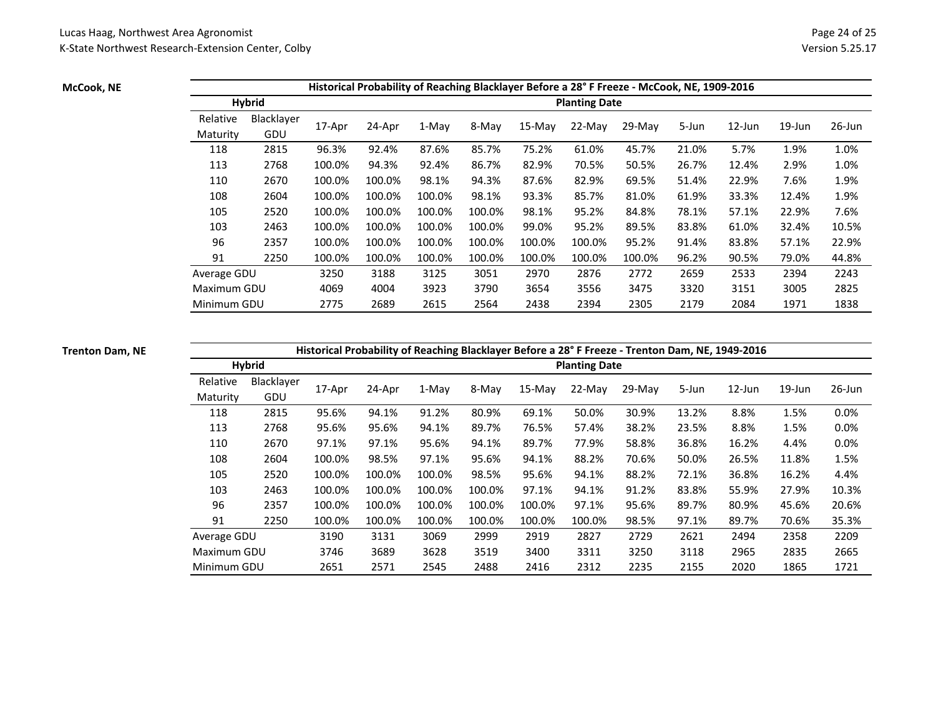### **McCook, NE**

|             |               |        |        |        |        |           |                      | Historical Probability of Reaching Blacklayer Before a 28°F Freeze - McCook, NE, 1909-2016 |       |           |           |           |
|-------------|---------------|--------|--------|--------|--------|-----------|----------------------|--------------------------------------------------------------------------------------------|-------|-----------|-----------|-----------|
|             | <b>Hybrid</b> |        |        |        |        |           | <b>Planting Date</b> |                                                                                            |       |           |           |           |
| Relative    | Blacklayer    |        |        |        |        |           | 22-May               |                                                                                            |       | $12$ -Jun | $19$ -Jun | $26$ -Jun |
| Maturity    | GDU           | 17-Apr | 24-Apr | 1-May  | 8-May  | $15$ -May |                      | $29-Mav$                                                                                   | 5-Jun |           |           |           |
| 118         | 2815          | 96.3%  | 92.4%  | 87.6%  | 85.7%  | 75.2%     | 61.0%                | 45.7%                                                                                      | 21.0% | 5.7%      | 1.9%      | 1.0%      |
| 113         | 2768          | 100.0% | 94.3%  | 92.4%  | 86.7%  | 82.9%     | 70.5%                | 50.5%                                                                                      | 26.7% | 12.4%     | 2.9%      | 1.0%      |
| 110         | 2670          | 100.0% | 100.0% | 98.1%  | 94.3%  | 87.6%     | 82.9%                | 69.5%                                                                                      | 51.4% | 22.9%     | 7.6%      | 1.9%      |
| 108         | 2604          | 100.0% | 100.0% | 100.0% | 98.1%  | 93.3%     | 85.7%                | 81.0%                                                                                      | 61.9% | 33.3%     | 12.4%     | 1.9%      |
| 105         | 2520          | 100.0% | 100.0% | 100.0% | 100.0% | 98.1%     | 95.2%                | 84.8%                                                                                      | 78.1% | 57.1%     | 22.9%     | 7.6%      |
| 103         | 2463          | 100.0% | 100.0% | 100.0% | 100.0% | 99.0%     | 95.2%                | 89.5%                                                                                      | 83.8% | 61.0%     | 32.4%     | 10.5%     |
| 96          | 2357          | 100.0% | 100.0% | 100.0% | 100.0% | 100.0%    | 100.0%               | 95.2%                                                                                      | 91.4% | 83.8%     | 57.1%     | 22.9%     |
| 91          | 2250          | 100.0% | 100.0% | 100.0% | 100.0% | 100.0%    | 100.0%               | 100.0%                                                                                     | 96.2% | 90.5%     | 79.0%     | 44.8%     |
| Average GDU |               | 3250   | 3188   | 3125   | 3051   | 2970      | 2876                 | 2772                                                                                       | 2659  | 2533      | 2394      | 2243      |
| Maximum GDU |               | 4069   | 4004   | 3923   | 3790   | 3654      | 3556                 | 3475                                                                                       | 3320  | 3151      | 3005      | 2825      |
| Minimum GDU |               | 2775   | 2689   | 2615   | 2564   | 2438      | 2394                 | 2305                                                                                       | 2179  | 2084      | 1971      | 1838      |

### **Trenton Dam, NE**

### **Historical Probability of Reaching Blacklayer Before a 28° F Freeze - Trenton Dam, NE, 1949-2016**

|             | <b>Hybrid</b> |        | . .    | ັ      |        |          | <b>Planting Date</b> |          |       |           |           |           |
|-------------|---------------|--------|--------|--------|--------|----------|----------------------|----------|-------|-----------|-----------|-----------|
| Relative    | Blacklayer    | 17-Apr | 24-Apr | 1-May  | 8-May  | $15-Mav$ | 22-May               | $29-Mav$ | 5-Jun | $12$ -Jun | $19$ -Jun | $26$ -Jun |
| Maturity    | GDU           |        |        |        |        |          |                      |          |       |           |           |           |
| 118         | 2815          | 95.6%  | 94.1%  | 91.2%  | 80.9%  | 69.1%    | 50.0%                | 30.9%    | 13.2% | 8.8%      | 1.5%      | $0.0\%$   |
| 113         | 2768          | 95.6%  | 95.6%  | 94.1%  | 89.7%  | 76.5%    | 57.4%                | 38.2%    | 23.5% | 8.8%      | 1.5%      | 0.0%      |
| 110         | 2670          | 97.1%  | 97.1%  | 95.6%  | 94.1%  | 89.7%    | 77.9%                | 58.8%    | 36.8% | 16.2%     | 4.4%      | 0.0%      |
| 108         | 2604          | 100.0% | 98.5%  | 97.1%  | 95.6%  | 94.1%    | 88.2%                | 70.6%    | 50.0% | 26.5%     | 11.8%     | 1.5%      |
| 105         | 2520          | 100.0% | 100.0% | 100.0% | 98.5%  | 95.6%    | 94.1%                | 88.2%    | 72.1% | 36.8%     | 16.2%     | 4.4%      |
| 103         | 2463          | 100.0% | 100.0% | 100.0% | 100.0% | 97.1%    | 94.1%                | 91.2%    | 83.8% | 55.9%     | 27.9%     | 10.3%     |
| 96          | 2357          | 100.0% | 100.0% | 100.0% | 100.0% | 100.0%   | 97.1%                | 95.6%    | 89.7% | 80.9%     | 45.6%     | 20.6%     |
| 91          | 2250          | 100.0% | 100.0% | 100.0% | 100.0% | 100.0%   | 100.0%               | 98.5%    | 97.1% | 89.7%     | 70.6%     | 35.3%     |
| Average GDU |               | 3190   | 3131   | 3069   | 2999   | 2919     | 2827                 | 2729     | 2621  | 2494      | 2358      | 2209      |
| Maximum GDU |               | 3746   | 3689   | 3628   | 3519   | 3400     | 3311                 | 3250     | 3118  | 2965      | 2835      | 2665      |
| Minimum GDU |               | 2651   | 2571   | 2545   | 2488   | 2416     | 2312                 | 2235     | 2155  | 2020      | 1865      | 1721      |